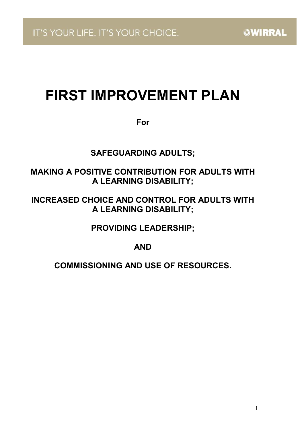# FIRST IMPROVEMENT PLAN

For

SAFEGUARDING ADULTS;

# MAKING A POSITIVE CONTRIBUTION FOR ADULTS WITH A LEARNING DISABILITY;

# INCREASED CHOICE AND CONTROL FOR ADULTS WITH A LEARNING DISABILITY;

PROVIDING LEADERSHIP;

AND

COMMISSIONING AND USE OF RESOURCES.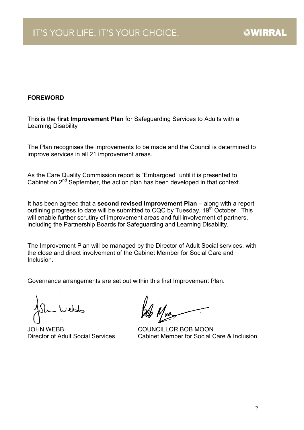### FOREWORD

This is the first Improvement Plan for Safeguarding Services to Adults with a Learning Disability

The Plan recognises the improvements to be made and the Council is determined to improve services in all 21 improvement areas.

As the Care Quality Commission report is "Embargoed" until it is presented to Cabinet on 2<sup>nd</sup> September, the action plan has been developed in that context.

It has been agreed that a second revised Improvement Plan - along with a report outlining progress to date will be submitted to CQC by Tuesday, 19<sup>th</sup> October. This will enable further scrutiny of improvement areas and full involvement of partners, including the Partnership Boards for Safeguarding and Learning Disability.

The Improvement Plan will be managed by the Director of Adult Social services, with the close and direct involvement of the Cabinet Member for Social Care and **Inclusion** 

Governance arrangements are set out within this first Improvement Plan.

Web

JOHN WEBB COUNCILLOR BOB MOON

Director of Adult Social Services Cabinet Member for Social Care & Inclusion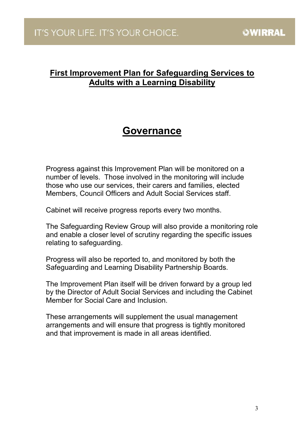# First Improvement Plan for Safeguarding Services to Adults with a Learning Disability

# Governance

Progress against this Improvement Plan will be monitored on a number of levels. Those involved in the monitoring will include those who use our services, their carers and families, elected Members, Council Officers and Adult Social Services staff.

Cabinet will receive progress reports every two months.

The Safeguarding Review Group will also provide a monitoring role and enable a closer level of scrutiny regarding the specific issues relating to safeguarding.

Progress will also be reported to, and monitored by both the Safeguarding and Learning Disability Partnership Boards.

The Improvement Plan itself will be driven forward by a group led by the Director of Adult Social Services and including the Cabinet Member for Social Care and Inclusion.

These arrangements will supplement the usual management arrangements and will ensure that progress is tightly monitored and that improvement is made in all areas identified.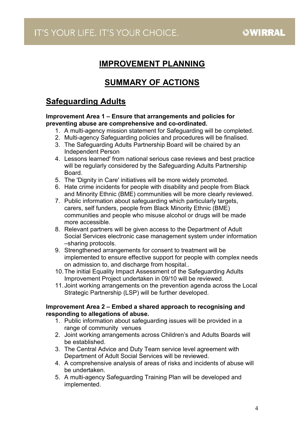# IMPROVEMENT PLANNING

# SUMMARY OF ACTIONS

# Safeguarding Adults

#### Improvement Area 1 – Ensure that arrangements and policies for preventing abuse are comprehensive and co-ordinated.

- 1. A multi-agency mission statement for Safeguarding will be completed.
- 2. Multi-agency Safeguarding policies and procedures will be finalised.
- 3. The Safeguarding Adults Partnership Board will be chaired by an Independent Person
- 4. Lessons learned' from national serious case reviews and best practice will be regularly considered by the Safeguarding Adults Partnership **Board**
- 5. The 'Dignity in Care' initiatives will be more widely promoted.
- 6. Hate crime incidents for people with disability and people from Black and Minority Ethnic (BME) communities will be more clearly reviewed.
- 7. Public information about safeguarding which particularly targets, carers, self funders, people from Black Minority Ethnic (BME) communities and people who misuse alcohol or drugs will be made more accessible.
- 8. Relevant partners will be given access to the Department of Adult Social Services electronic case management system under information –sharing protocols.
- 9. Strengthened arrangements for consent to treatment will be implemented to ensure effective support for people with complex needs on admission to, and discharge from hospital..
- 10. The initial Equality Impact Assessment of the Safeguarding Adults Improvement Project undertaken in 09/10 will be reviewed.
- 11. Joint working arrangements on the prevention agenda across the Local Strategic Partnership (LSP) will be further developed.

#### Improvement Area 2 – Embed a shared approach to recognising and responding to allegations of abuse.

- 1. Public information about safeguarding issues will be provided in a range of community venues
- 2. Joint working arrangements across Children's and Adults Boards will be established.
- 3. The Central Advice and Duty Team service level agreement with Department of Adult Social Services will be reviewed.
- 4. A comprehensive analysis of areas of risks and incidents of abuse will be undertaken.
- 5. A multi-agency Safeguarding Training Plan will be developed and implemented.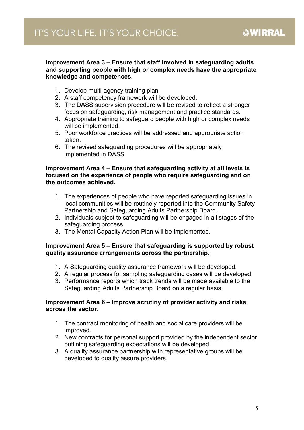#### Improvement Area 3 – Ensure that staff involved in safeguarding adults and supporting people with high or complex needs have the appropriate knowledge and competences.

- 1. Develop multi-agency training plan
- 2. A staff competency framework will be developed.
- 3. The DASS supervision procedure will be revised to reflect a stronger focus on safeguarding, risk management and practice standards.
- 4. Appropriate training to safeguard people with high or complex needs will be implemented.
- 5. Poor workforce practices will be addressed and appropriate action taken.
- 6. The revised safeguarding procedures will be appropriately implemented in DASS

#### Improvement Area 4 – Ensure that safeguarding activity at all levels is focused on the experience of people who require safeguarding and on the outcomes achieved.

- 1. The experiences of people who have reported safeguarding issues in local communities will be routinely reported into the Community Safety Partnership and Safeguarding Adults Partnership Board.
- 2. Individuals subject to safeguarding will be engaged in all stages of the safeguarding process
- 3. The Mental Capacity Action Plan will be implemented.

#### Improvement Area 5 – Ensure that safeguarding is supported by robust quality assurance arrangements across the partnership.

- 1. A Safeguarding quality assurance framework will be developed.
- 2. A regular process for sampling safeguarding cases will be developed.
- 3. Performance reports which track trends will be made available to the Safeguarding Adults Partnership Board on a regular basis.

#### Improvement Area 6 – Improve scrutiny of provider activity and risks across the sector.

- 1. The contract monitoring of health and social care providers will be improved.
- 2. New contracts for personal support provided by the independent sector outlining safeguarding expectations will be developed.
- 3. A quality assurance partnership with representative groups will be developed to quality assure providers.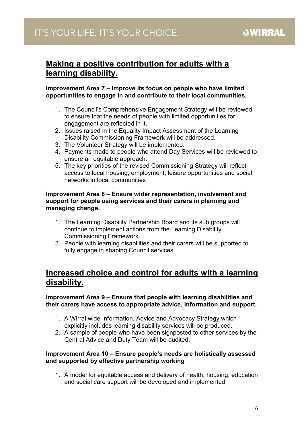# Making a positive contribution for adults with a learning disability.

#### Improvement Area 7 – Improve its focus on people who have limited opportunities to engage in and contribute to their local communities.

- 1. The Council's Comprehensive Engagement Strategy will be reviewed to ensure that the needs of people with limited opportunities for engagement are reflected in it.
- 2. Issues raised in the Equality Impact Assessment of the Learning Disability Commissioning Framework will be addressed.
- 3. The Volunteer Strategy will be implemented.
- 4. Payments made to people who attend Day Services will be reviewed to ensure an equitable approach.
- 5. The key priorities of the revised Commissioning Strategy will reflect access to local housing, employment, leisure opportunities and social networks in local communities

#### Improvement Area 8 – Ensure wider representation, involvement and support for people using services and their carers in planning and managing change.

- 1. The Learning Disability Partnership Board and its sub groups will continue to implement actions from the Learning Disability Commissioning Framework.
- 2. People with learning disabilities and their carers will be supported to fully engage in shaping Council services

## Increased choice and control for adults with a learning disability.

### Improvement Area 9 – Ensure that people with learning disabilities and their carers have access to appropriate advice, information and support.

- 1. A Wirral wide Information, Advice and Advocacy Strategy which explicitly includes learning disability services will be produced.
- 2. A sample of people who have been signposted to other services by the Central Advice and Duty Team will be audited.

#### Improvement Area 10 – Ensure people's needs are holistically assessed and supported by effective partnership working

1. A model for equitable access and delivery of health, housing, education and social care support will be developed and implemented.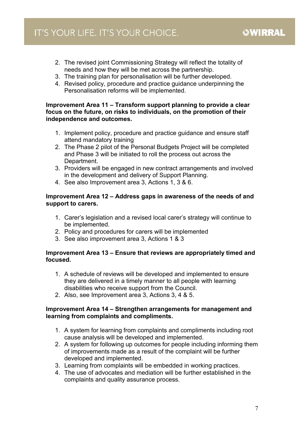- 2. The revised joint Commissioning Strategy will reflect the totality of needs and how they will be met across the partnership.
- 3. The training plan for personalisation will be further developed.
- 4. Revised policy, procedure and practice guidance underpinning the Personalisation reforms will be implemented.

#### Improvement Area 11 – Transform support planning to provide a clear focus on the future, on risks to individuals, on the promotion of their independence and outcomes.

- 1. Implement policy, procedure and practice guidance and ensure staff attend mandatory training
- 2. The Phase 2 pilot of the Personal Budgets Project will be completed and Phase 3 will be initiated to roll the process out across the Department.
- 3. Providers will be engaged in new contract arrangements and involved in the development and delivery of Support Planning.
- 4. See also Improvement area 3, Actions 1, 3 & 6.

#### Improvement Area 12 – Address gaps in awareness of the needs of and support to carers.

- 1. Carer's legislation and a revised local carer's strategy will continue to be implemented.
- 2. Policy and procedures for carers will be implemented
- 3. See also improvement area 3, Actions 1 & 3

### Improvement Area 13 – Ensure that reviews are appropriately timed and focused.

- 1. A schedule of reviews will be developed and implemented to ensure they are delivered in a timely manner to all people with learning disabilities who receive support from the Council.
- 2. Also, see Improvement area 3, Actions 3, 4 & 5.

#### Improvement Area 14 – Strengthen arrangements for management and learning from complaints and compliments.

- 1. A system for learning from complaints and compliments including root cause analysis will be developed and implemented.
- 2. A system for following up outcomes for people including informing them of improvements made as a result of the complaint will be further developed and implemented.
- 3. Learning from complaints will be embedded in working practices.
- 4. The use of advocates and mediation will be further established in the complaints and quality assurance process.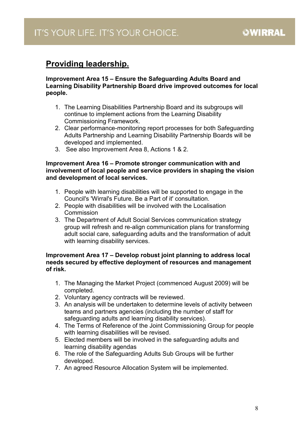# Providing leadership.

#### Improvement Area 15 – Ensure the Safeguarding Adults Board and Learning Disability Partnership Board drive improved outcomes for local people.

- 1. The Learning Disabilities Partnership Board and its subgroups will continue to implement actions from the Learning Disability Commissioning Framework.
- 2. Clear performance-monitoring report processes for both Safeguarding Adults Partnership and Learning Disability Partnership Boards will be developed and implemented.
- 3. See also Improvement Area 8, Actions 1 & 2.

#### Improvement Area 16 – Promote stronger communication with and involvement of local people and service providers in shaping the vision and development of local services.

- 1. People with learning disabilities will be supported to engage in the Council's 'Wirral's Future. Be a Part of it' consultation.
- 2. People with disabilities will be involved with the Localisation **Commission**
- 3. The Department of Adult Social Services communication strategy group will refresh and re-align communication plans for transforming adult social care, safeguarding adults and the transformation of adult with learning disability services.

#### Improvement Area 17 – Develop robust joint planning to address local needs secured by effective deployment of resources and management of risk.

- 1. The Managing the Market Project (commenced August 2009) will be completed.
- 2. Voluntary agency contracts will be reviewed.
- 3. An analysis will be undertaken to determine levels of activity between teams and partners agencies (including the number of staff for safeguarding adults and learning disability services).
- 4. The Terms of Reference of the Joint Commissioning Group for people with learning disabilities will be revised.
- 5. Elected members will be involved in the safeguarding adults and learning disability agendas
- 6. The role of the Safeguarding Adults Sub Groups will be further developed.
- 7. An agreed Resource Allocation System will be implemented.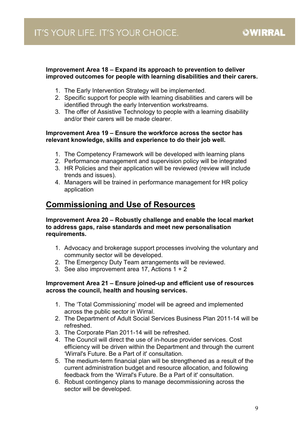#### Improvement Area 18 – Expand its approach to prevention to deliver improved outcomes for people with learning disabilities and their carers.

- 1. The Early Intervention Strategy will be implemented.
- 2. Specific support for people with learning disabilities and carers will be identified through the early Intervention workstreams.
- 3. The offer of Assistive Technology to people with a learning disability and/or their carers will be made clearer.

#### Improvement Area 19 – Ensure the workforce across the sector has relevant knowledge, skills and experience to do their job well.

- 1. The Competency Framework will be developed with learning plans
- 2. Performance management and supervision policy will be integrated
- 3. HR Policies and their application will be reviewed (review will include trends and issues).
- 4. Managers will be trained in performance management for HR policy application

## Commissioning and Use of Resources

Improvement Area 20 – Robustly challenge and enable the local market to address gaps, raise standards and meet new personalisation requirements.

- 1. Advocacy and brokerage support processes involving the voluntary and community sector will be developed.
- 2. The Emergency Duty Team arrangements will be reviewed.
- 3. See also improvement area 17, Actions 1 + 2

#### Improvement Area 21 – Ensure joined-up and efficient use of resources across the council, health and housing services.

- 1. The 'Total Commissioning' model will be agreed and implemented across the public sector in Wirral.
- 2. The Department of Adult Social Services Business Plan 2011-14 will be refreshed.
- 3. The Corporate Plan 2011-14 will be refreshed.
- 4. The Council will direct the use of in-house provider services. Cost efficiency will be driven within the Department and through the current 'Wirral's Future. Be a Part of it' consultation.
- 5. The medium-term financial plan will be strengthened as a result of the current administration budget and resource allocation, and following feedback from the 'Wirral's Future. Be a Part of it' consultation.
- 6. Robust contingency plans to manage decommissioning across the sector will be developed.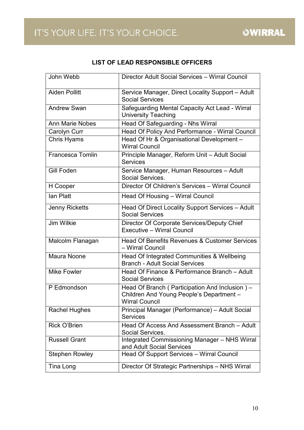### LIST OF LEAD RESPONSIBLE OFFICERS

| John Webb              | Director Adult Social Services - Wirral Council                                                                     |
|------------------------|---------------------------------------------------------------------------------------------------------------------|
| <b>Aiden Pollitt</b>   | Service Manager, Direct Locality Support - Adult<br><b>Social Services</b>                                          |
| <b>Andrew Swan</b>     | Safeguarding Mental Capacity Act Lead - Wirral<br><b>University Teaching</b>                                        |
| <b>Ann Marie Nobes</b> | Head Of Safeguarding - Nhs Wirral                                                                                   |
| Carolyn Curr           | Head Of Policy And Performance - Wirral Council                                                                     |
| <b>Chris Hyams</b>     | Head Of Hr & Organisational Development -<br><b>Wirral Council</b>                                                  |
| Francesca Tomlin       | Principle Manager, Reform Unit - Adult Social<br><b>Services</b>                                                    |
| Gill Foden             | Service Manager, Human Resources - Adult<br>Social Services.                                                        |
| H Cooper               | Director Of Children's Services - Wirral Council                                                                    |
| lan Platt              | Head Of Housing - Wirral Council                                                                                    |
| <b>Jenny Ricketts</b>  | Head Of Direct Locality Support Services - Adult<br><b>Social Services</b>                                          |
| <b>Jim Wilkie</b>      | Director Of Corporate Services/Deputy Chief<br>Executive - Wirral Council                                           |
| Malcolm Flanagan       | Head Of Benefits Revenues & Customer Services<br>- Wirral Council                                                   |
| Maura Noone            | Head Of Integrated Communities & Wellbeing<br><b>Branch - Adult Social Services</b>                                 |
| <b>Mike Fowler</b>     | Head Of Finance & Performance Branch - Adult<br><b>Social Services</b>                                              |
| P Edmondson            | Head Of Branch (Participation And Inclusion) –<br>Children And Young People's Department -<br><b>Wirral Council</b> |
| <b>Rachel Hughes</b>   | Principal Manager (Performance) - Adult Social<br><b>Services</b>                                                   |
| Rick O'Brien           | Head Of Access And Assessment Branch - Adult<br>Social Services.                                                    |
| <b>Russell Grant</b>   | Integrated Commissioning Manager - NHS Wirral<br>and Adult Social Services                                          |
| <b>Stephen Rowley</b>  | Head Of Support Services - Wirral Council                                                                           |
| Tina Long              | Director Of Strategic Partnerships - NHS Wirral                                                                     |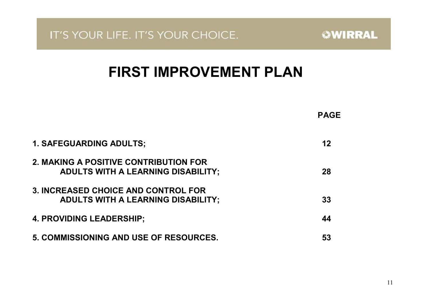# FIRST IMPROVEMENT PLAN

|                                                                                    | <b>PAGE</b> |
|------------------------------------------------------------------------------------|-------------|
| <b>1. SAFEGUARDING ADULTS;</b>                                                     | 12          |
| 2. MAKING A POSITIVE CONTRIBUTION FOR<br><b>ADULTS WITH A LEARNING DISABILITY;</b> | 28          |
| 3. INCREASED CHOICE AND CONTROL FOR<br><b>ADULTS WITH A LEARNING DISABILITY;</b>   | 33          |
| <b>4. PROVIDING LEADERSHIP;</b>                                                    | 44          |
| 5. COMMISSIONING AND USE OF RESOURCES.                                             | 53          |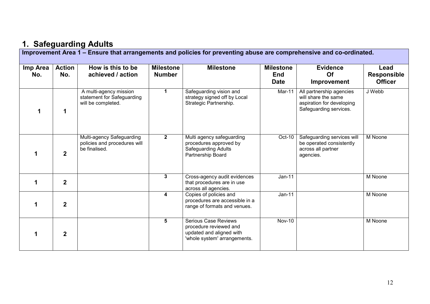# 1. Safeguarding Adults

 Improvement Area 1 – Ensure that arrangements and policies for preventing abuse are comprehensive and co-ordinated. Imp Area No. Action No. How is this to be achieved / action **Milestone** Number Milestone Milestone End Date **Evidence** Of Improvement Lead Responsible **Officer** 1 1 A multi-agency mission statement for Safeguarding will be completed. 1 Safeguarding vision and strategy signed off by Local Strategic Partnership. Mar-11 All partnership agencies will share the same aspiration for developing Safeguarding services. J Webb 1 2 Multi-agency Safeguarding policies and procedures will be finalised. 2 Multi agency safeguarding procedures approved by Safeguarding Adults Partnership Board Oct-10 Safeguarding services will be operated consistently across all partner agencies. M Noone 1 2 3 Cross-agency audit evidences that procedures are in use across all agencies. 4 Copies of policies and Jan-11 Moone 1 2 procedures are accessible in a range of formats and venues. Jan-11 M Noone 1 2 5 Serious Case Reviews procedure reviewed and updated and aligned with 'whole system' arrangements. Nov-10 M Noone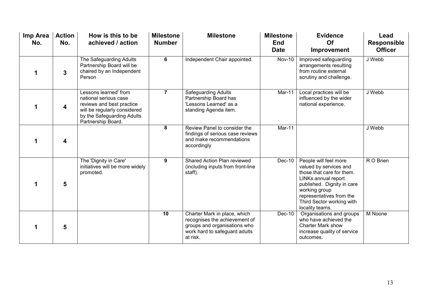| Imp Area<br>No. | <b>Action</b><br>No. | How is this to be<br>achieved / action                                                                                                                          | <b>Milestone</b><br><b>Number</b> | <b>Milestone</b>                                                                                                                           | <b>Milestone</b><br><b>End</b><br><b>Date</b> | <b>Evidence</b><br>Of<br>Improvement                                                                                                                                                                                           | Lead<br><b>Responsible</b><br><b>Officer</b> |
|-----------------|----------------------|-----------------------------------------------------------------------------------------------------------------------------------------------------------------|-----------------------------------|--------------------------------------------------------------------------------------------------------------------------------------------|-----------------------------------------------|--------------------------------------------------------------------------------------------------------------------------------------------------------------------------------------------------------------------------------|----------------------------------------------|
|                 | $\mathbf{3}$         | The Safeguarding Adults<br>Partnership Board will be<br>chaired by an Independent<br>Person                                                                     | 6                                 | Independent Chair appointed.                                                                                                               | <b>Nov-10</b>                                 | Improved safeguarding<br>arrangements resulting<br>from routine external<br>scrutiny and challenge.                                                                                                                            | J Webb                                       |
|                 | 4                    | Lessons learned' from<br>national serious case<br>reviews and best practice<br>will be regularly considered<br>by the Safeguarding Adults<br>Partnership Board. | $\overline{7}$                    | Safeguarding Adults<br>Partnership Board has<br>'Lessons Learned' as a<br>standing Agenda item.                                            | Mar-11                                        | Local practices will be<br>influenced by the wider<br>national experience.                                                                                                                                                     | J Webb                                       |
|                 | 4                    |                                                                                                                                                                 | 8                                 | Review Panel to consider the<br>findings of serious case reviews<br>and make recommendations<br>accordingly                                | Mar-11                                        |                                                                                                                                                                                                                                | J Webb                                       |
|                 | 5                    | The 'Dignity in Care'<br>initiatives will be more widely<br>promoted.                                                                                           | 9                                 | Shared Action Plan reviewed<br>(including inputs from front-line<br>staff).                                                                | Dec-10                                        | People will feel more<br>valued by services and<br>those that care for them.<br>LINKs annual report<br>published. Dignity in care<br>working group<br>representatives from the<br>Third Sector working with<br>locality teams. | R O Brien                                    |
|                 | 5                    |                                                                                                                                                                 | 10                                | Charter Mark in place, which<br>recognises the achievement of<br>groups and organisations who<br>work hard to safeguard adults<br>at risk. | Dec-10                                        | Organisations and groups<br>who have achieved the<br><b>Charter Mark show</b><br>increase quality of service<br>outcomes.                                                                                                      | M Noone                                      |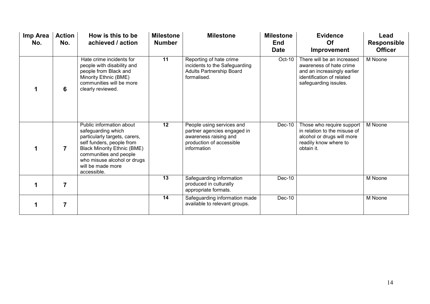| Imp Area<br>No. | <b>Action</b><br>No. | How is this to be<br>achieved / action                                                                                                                                                                                                          | <b>Milestone</b><br><b>Number</b> | <b>Milestone</b>                                                                                                             | <b>Milestone</b><br><b>End</b><br><b>Date</b> | <b>Evidence</b><br><b>Of</b><br>Improvement                                                                                                | Lead<br><b>Responsible</b><br><b>Officer</b> |
|-----------------|----------------------|-------------------------------------------------------------------------------------------------------------------------------------------------------------------------------------------------------------------------------------------------|-----------------------------------|------------------------------------------------------------------------------------------------------------------------------|-----------------------------------------------|--------------------------------------------------------------------------------------------------------------------------------------------|----------------------------------------------|
|                 | 6                    | Hate crime incidents for<br>people with disability and<br>people from Black and<br>Minority Ethnic (BME)<br>communities will be more<br>clearly reviewed.                                                                                       | 11                                | Reporting of hate crime<br>incidents to the Safeguarding<br><b>Adults Partnership Board</b><br>formalised.                   | Oct-10                                        | There will be an increased<br>awareness of hate crime<br>and an increasingly earlier<br>identification of related<br>safeguarding issules. | M Noone                                      |
|                 | $\overline{7}$       | Public information about<br>safeguarding which<br>particularly targets, carers,<br>self funders, people from<br><b>Black Minority Ethnic (BME)</b><br>communities and people<br>who misuse alcohol or drugs<br>will be made more<br>accessible. | 12                                | People using services and<br>partner agencies engaged in<br>awareness raising and<br>production of accessible<br>information | Dec-10                                        | Those who require support<br>in relation to the misuse of<br>alcohol or drugs will more<br>readily know where to<br>obtain it.             | M Noone                                      |
|                 | $\overline{7}$       |                                                                                                                                                                                                                                                 | 13                                | Safeguarding information<br>produced in culturally<br>appropriate formats.                                                   | Dec-10                                        |                                                                                                                                            | M Noone                                      |
|                 | $\overline{7}$       |                                                                                                                                                                                                                                                 | 14                                | Safeguarding information made<br>available to relevant groups.                                                               | Dec-10                                        |                                                                                                                                            | M Noone                                      |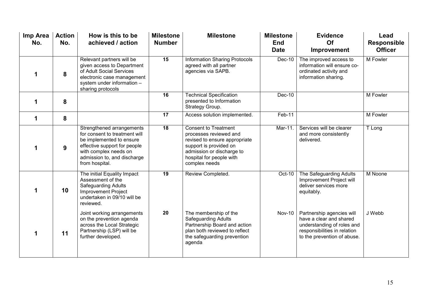| Imp Area<br>No. | <b>Action</b><br>No. | How is this to be<br>achieved / action                                                                                                                                                           | <b>Milestone</b><br><b>Number</b> | <b>Milestone</b>                                                                                                                                                                           | <b>Milestone</b><br><b>End</b><br><b>Date</b> | <b>Evidence</b><br>Of<br>Improvement                                                                                                              | Lead<br><b>Responsible</b><br><b>Officer</b> |
|-----------------|----------------------|--------------------------------------------------------------------------------------------------------------------------------------------------------------------------------------------------|-----------------------------------|--------------------------------------------------------------------------------------------------------------------------------------------------------------------------------------------|-----------------------------------------------|---------------------------------------------------------------------------------------------------------------------------------------------------|----------------------------------------------|
|                 | 8                    | Relevant partners will be<br>given access to Department<br>of Adult Social Services<br>electronic case management<br>system under information -<br>sharing protocols                             | 15                                | <b>Information Sharing Protocols</b><br>agreed with all partner<br>agencies via SAPB.                                                                                                      | Dec-10                                        | The improved access to<br>information will ensure co-<br>ordinated activity and<br>information sharing.                                           | M Fowler                                     |
| 1               | 8                    |                                                                                                                                                                                                  | 16                                | <b>Technical Specification</b><br>presented to Information<br>Strategy Group.                                                                                                              | Dec-10                                        |                                                                                                                                                   | M Fowler                                     |
| 1               | 8                    |                                                                                                                                                                                                  | 17                                | Access solution implemented.                                                                                                                                                               | Feb-11                                        |                                                                                                                                                   | M Fowler                                     |
|                 | 9                    | Strengthened arrangements<br>for consent to treatment will<br>be implemented to ensure<br>effective support for people<br>with complex needs on<br>admission to, and discharge<br>from hospital. | $\overline{18}$                   | <b>Consent to Treatment</b><br>processes reviewed and<br>revised to ensure appropriate<br>support is provided on<br>admission or discharge to<br>hospital for people with<br>complex needs | Mar-11.                                       | Services will be clearer<br>and more consistently<br>delivered.                                                                                   | T Long                                       |
|                 | 10                   | The initial Equality Impact<br>Assessment of the<br>Safeguarding Adults<br><b>Improvement Project</b><br>undertaken in 09/10 will be<br>reviewed.                                                | 19                                | Review Completed.                                                                                                                                                                          | Oct-10                                        | The Safeguarding Adults<br>Improvement Project will<br>deliver services more<br>equitably.                                                        | M Noone                                      |
|                 | 11                   | Joint working arrangements<br>on the prevention agenda<br>across the Local Strategic<br>Partnership (LSP) will be<br>further developed.                                                          | 20                                | The membership of the<br><b>Safeguarding Adults</b><br>Partnership Board and action<br>plan both reviewed to reflect<br>the safeguarding prevention<br>agenda                              | <b>Nov-10</b>                                 | Partnership agencies will<br>have a clear and shared<br>understanding of roles and<br>responsibilities in relation<br>to the prevention of abuse. | J Webb                                       |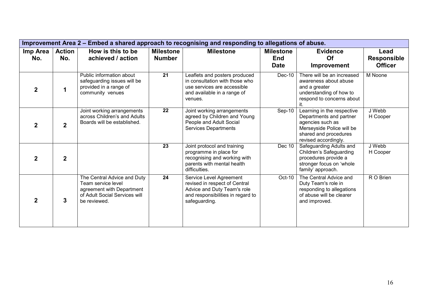| Improvement Area 2 - Embed a shared approach to recognising and responding to allegations of abuse. |                      |                                                                                                                                 |                                   |                                                                                                                                               |                                               |                                                                                                                                                         |                                              |  |  |  |
|-----------------------------------------------------------------------------------------------------|----------------------|---------------------------------------------------------------------------------------------------------------------------------|-----------------------------------|-----------------------------------------------------------------------------------------------------------------------------------------------|-----------------------------------------------|---------------------------------------------------------------------------------------------------------------------------------------------------------|----------------------------------------------|--|--|--|
| Imp Area<br>No.                                                                                     | <b>Action</b><br>No. | How is this to be<br>achieved / action                                                                                          | <b>Milestone</b><br><b>Number</b> | <b>Milestone</b>                                                                                                                              | <b>Milestone</b><br><b>End</b><br><b>Date</b> | <b>Evidence</b><br><b>Of</b><br>Improvement                                                                                                             | Lead<br><b>Responsible</b><br><b>Officer</b> |  |  |  |
|                                                                                                     |                      | Public information about<br>safeguarding issues will be<br>provided in a range of<br>community venues                           | 21                                | Leaflets and posters produced<br>in consultation with those who<br>use services are accessible<br>and available in a range of<br>venues.      | Dec-10                                        | There will be an increased<br>awareness about abuse<br>and a greater<br>understanding of how to<br>respond to concerns about<br>it.                     | M Noone                                      |  |  |  |
|                                                                                                     | $\overline{2}$       | Joint working arrangements<br>across Children's and Adults<br>Boards will be established.                                       | 22                                | Joint working arrangements<br>agreed by Children and Young<br>People and Adult Social<br><b>Services Departments</b>                          | Sep-10                                        | Learning in the respective<br>Departments and partner<br>agencies such as<br>Merseyside Police will be<br>shared and procedures<br>revised accordingly. | J Webb<br>H Cooper                           |  |  |  |
| 2                                                                                                   | $\mathbf{2}$         |                                                                                                                                 | 23                                | Joint protocol and training<br>programme in place for<br>recognising and working with<br>parents with mental health<br>difficulties.          | Dec 10                                        | Safeguarding Adults and<br>Children's Safeguarding<br>procedures provide a<br>stronger focus on 'whole<br>family' approach.                             | J Webb<br>H Cooper                           |  |  |  |
|                                                                                                     | 3                    | The Central Advice and Duty<br>Team service level<br>agreement with Department<br>of Adult Social Services will<br>be reviewed. | 24                                | Service Level Agreement<br>revised in respect of Central<br>Advice and Duty Team's role<br>and responsibilities in regard to<br>safeguarding. | Oct-10                                        | The Central Advice and<br>Duty Team's role in<br>responding to allegations<br>of abuse will be clearer<br>and improved.                                 | R O Brien                                    |  |  |  |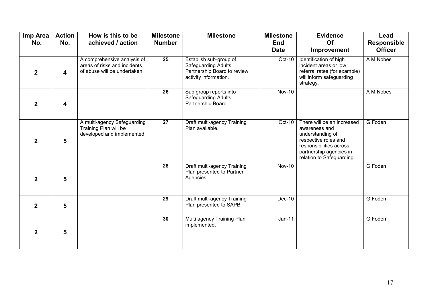| Imp Area<br>No. | <b>Action</b><br>No.    | How is this to be<br>achieved / action                                                      | <b>Milestone</b><br><b>Number</b> | <b>Milestone</b>                                                                                             | <b>Milestone</b><br><b>End</b><br><b>Date</b> | <b>Evidence</b><br>Of<br>Improvement                                                                                                                                       | Lead<br><b>Responsible</b><br><b>Officer</b> |
|-----------------|-------------------------|---------------------------------------------------------------------------------------------|-----------------------------------|--------------------------------------------------------------------------------------------------------------|-----------------------------------------------|----------------------------------------------------------------------------------------------------------------------------------------------------------------------------|----------------------------------------------|
| $\overline{2}$  | $\overline{\mathbf{4}}$ | A comprehensive analysis of<br>areas of risks and incidents<br>of abuse will be undertaken. | 25                                | Establish sub-group of<br><b>Safeguarding Adults</b><br>Partnership Board to review<br>activity information. | Oct-10                                        | Identification of high<br>incident areas or low<br>referral rates (for example)<br>will inform safeguarding<br>strategy.                                                   | A M Nobes                                    |
| $\overline{2}$  | 4                       |                                                                                             | 26                                | Sub group reports into<br>Safeguarding Adults<br>Partnership Board.                                          | <b>Nov-10</b>                                 |                                                                                                                                                                            | A M Nobes                                    |
| $\overline{2}$  | 5                       | A multi-agency Safeguarding<br>Training Plan will be<br>developed and implemented.          | 27                                | Draft multi-agency Training<br>Plan available.                                                               | Oct-10                                        | There will be an increased<br>awareness and<br>understanding of<br>respective roles and<br>responsibilities across<br>partnership agencies in<br>relation to Safeguarding. | G Foden                                      |
| $\overline{2}$  | 5                       |                                                                                             | 28                                | Draft multi-agency Training<br>Plan presented to Partner<br>Agencies.                                        | <b>Nov-10</b>                                 |                                                                                                                                                                            | G Foden                                      |
| $\overline{2}$  | 5                       |                                                                                             | $\overline{29}$                   | Draft multi-agency Training<br>Plan presented to SAPB.                                                       | Dec-10                                        |                                                                                                                                                                            | G Foden                                      |
| $\overline{2}$  | 5                       |                                                                                             | 30                                | Multi agency Training Plan<br>implemented.                                                                   | $Jan-11$                                      |                                                                                                                                                                            | G Foden                                      |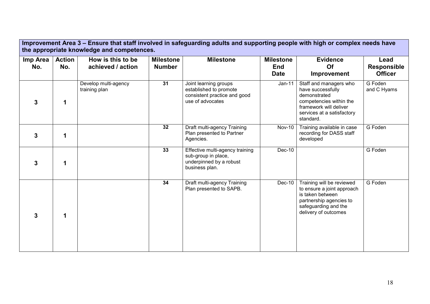| Improvement Area 3 – Ensure that staff involved in safeguarding adults and supporting people with high or complex needs have<br>the appropriate knowledge and competences. |                      |                                        |                                   |                                                                                                     |                                               |                                                                                                                                                             |                                              |  |  |  |
|----------------------------------------------------------------------------------------------------------------------------------------------------------------------------|----------------------|----------------------------------------|-----------------------------------|-----------------------------------------------------------------------------------------------------|-----------------------------------------------|-------------------------------------------------------------------------------------------------------------------------------------------------------------|----------------------------------------------|--|--|--|
| Imp Area<br>No.                                                                                                                                                            | <b>Action</b><br>No. | How is this to be<br>achieved / action | <b>Milestone</b><br><b>Number</b> | <b>Milestone</b>                                                                                    | <b>Milestone</b><br><b>End</b><br><b>Date</b> | <b>Evidence</b><br>Of<br><b>Improvement</b>                                                                                                                 | Lead<br><b>Responsible</b><br><b>Officer</b> |  |  |  |
| 3                                                                                                                                                                          | 1                    | Develop multi-agency<br>training plan  | $\overline{31}$                   | Joint learning groups<br>established to promote<br>consistent practice and good<br>use of advocates | $Jan-11$                                      | Staff and managers who<br>have successfully<br>demonstrated<br>competencies within the<br>framework will deliver<br>services at a satisfactory<br>standard. | G Foden<br>and C Hyams                       |  |  |  |
| 3                                                                                                                                                                          | 1                    |                                        | 32                                | Draft multi-agency Training<br>Plan presented to Partner<br>Agencies.                               | <b>Nov-10</b>                                 | Training available in case<br>recording for DASS staff<br>developed                                                                                         | G Foden                                      |  |  |  |
| 3                                                                                                                                                                          | 1                    |                                        | 33                                | Effective multi-agency training<br>sub-group in place,<br>underpinned by a robust<br>business plan. | Dec-10                                        |                                                                                                                                                             | G Foden                                      |  |  |  |
| 3                                                                                                                                                                          | 1                    |                                        | 34                                | Draft multi-agency Training<br>Plan presented to SAPB.                                              | $Dec-10$                                      | Training will be reviewed<br>to ensure a joint approach<br>is taken between<br>partnership agencies to<br>safeguarding and the<br>delivery of outcomes      | G Foden                                      |  |  |  |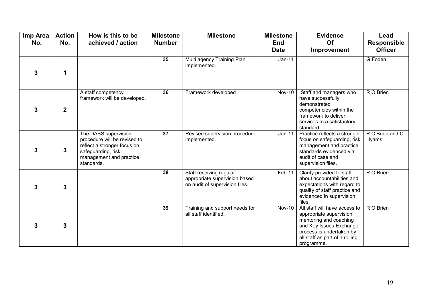| Imp Area<br>No. | <b>Action</b><br>No. | How is this to be<br>achieved / action                                                                                                             | <b>Milestone</b><br><b>Number</b> | <b>Milestone</b>                                                                           | <b>Milestone</b><br><b>End</b><br><b>Date</b> | <b>Evidence</b><br>Of<br>Improvement                                                                                                                                                       | Lead<br><b>Responsible</b><br><b>Officer</b> |
|-----------------|----------------------|----------------------------------------------------------------------------------------------------------------------------------------------------|-----------------------------------|--------------------------------------------------------------------------------------------|-----------------------------------------------|--------------------------------------------------------------------------------------------------------------------------------------------------------------------------------------------|----------------------------------------------|
| 3               | 1                    |                                                                                                                                                    | 35                                | Multi agency Training Plan<br>implemented.                                                 | $Jan-11$                                      |                                                                                                                                                                                            | G Foden                                      |
| 3               | $\overline{2}$       | A staff competency<br>framework will be developed.                                                                                                 | 36                                | Framework developed                                                                        | <b>Nov-10</b>                                 | Staff and managers who<br>have successfully<br>demonstrated<br>competencies within the<br>framework to deliver<br>services to a satisfactory<br>standard.                                  | R O Brien                                    |
| 3               | 3                    | The DASS supervision<br>procedure will be revised to<br>reflect a stronger focus on<br>safeguarding, risk<br>management and practice<br>standards. | 37                                | Revised supervision procedure<br>implemented.                                              | $Jan-11$                                      | Practice reflects a stronger<br>focus on safeguarding, risk<br>management and practice<br>standards evidenced via<br>audit of case and<br>supervision files.                               | R O'Brien and C<br><b>Hyams</b>              |
| 3               | 3                    |                                                                                                                                                    | 38                                | Staff receiving regular<br>appropriate supervision based<br>on audit of supervision files. | Feb-11                                        | Clarity provided to staff<br>about accountabilities and<br>expectations with regard to<br>quality of staff practice and<br>evidenced in supervision<br>files.                              | R O Brien                                    |
| 3               | 3                    |                                                                                                                                                    | 39                                | Training and support needs for<br>all staff identified.                                    | $Nov-10$                                      | All staff will have access to<br>appropriate supervision,<br>mentoring and coaching<br>and Key Issues Exchange<br>process is undertaken by<br>all staff as part of a rolling<br>programme. | R O Brien                                    |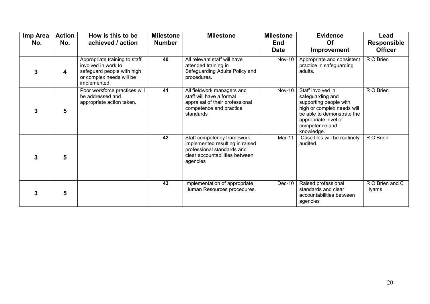| Imp Area<br>No. | <b>Action</b><br>No. | How is this to be<br>achieved / action                                                                                         | <b>Milestone</b><br><b>Number</b> | <b>Milestone</b>                                                                                                                          | <b>Milestone</b><br><b>End</b><br><b>Date</b> | <b>Evidence</b><br>Of<br>Improvement                                                                                                                                                | Lead<br><b>Responsible</b><br><b>Officer</b> |
|-----------------|----------------------|--------------------------------------------------------------------------------------------------------------------------------|-----------------------------------|-------------------------------------------------------------------------------------------------------------------------------------------|-----------------------------------------------|-------------------------------------------------------------------------------------------------------------------------------------------------------------------------------------|----------------------------------------------|
| 3               | 4                    | Appropriate training to staff<br>involved in work to<br>safeguard people with high<br>or complex needs will be<br>implemented. | 40                                | All relevant staff will have<br>attended training in<br>Safeguarding Adults Policy and<br>procedures.                                     | <b>Nov-10</b>                                 | Appropriate and consistent<br>practice in safeguarding<br>adults.                                                                                                                   | R O Brien                                    |
| 3               | 5                    | Poor workforce practices will<br>be addressed and<br>appropriate action taken.                                                 | 41                                | All fieldwork managers and<br>staff will have a formal<br>appraisal of their professional<br>competence and practice<br>standards         | <b>Nov-10</b>                                 | Staff involved in<br>safeguarding and<br>supporting people with<br>high or complex needs will<br>be able to demonstrate the<br>appropriate level of<br>competence and<br>knowledge. | R O Brien                                    |
| 3               | 5                    |                                                                                                                                | 42                                | Staff competency framework<br>implemented resulting in raised<br>professional standards and<br>clear accountabilities between<br>agencies | $Mar-11$                                      | Case files will be routinely<br>audited.                                                                                                                                            | R O'Brien                                    |
| 3               | 5                    |                                                                                                                                | 43                                | Implementation of appropriate<br>Human Resources procedures.                                                                              | Dec-10                                        | Raised professional<br>standards and clear<br>accountabilities between<br>agencies                                                                                                  | R O Brien and C<br><b>Hyams</b>              |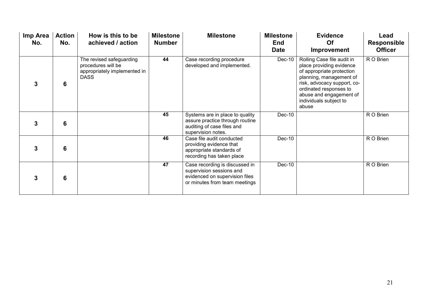| Imp Area<br>No. | <b>Action</b><br>No. | How is this to be<br>achieved / action                                                        | <b>Milestone</b><br><b>Number</b> | <b>Milestone</b>                                                                                                              | <b>Milestone</b><br><b>End</b><br><b>Date</b> | <b>Evidence</b><br>Of<br><b>Improvement</b>                                                                                                                                                                                           | Lead<br><b>Responsible</b><br><b>Officer</b> |
|-----------------|----------------------|-----------------------------------------------------------------------------------------------|-----------------------------------|-------------------------------------------------------------------------------------------------------------------------------|-----------------------------------------------|---------------------------------------------------------------------------------------------------------------------------------------------------------------------------------------------------------------------------------------|----------------------------------------------|
| 3               | 6                    | The revised safeguarding<br>procedures will be<br>appropriately implemented in<br><b>DASS</b> | 44                                | Case recording procedure<br>developed and implemented.                                                                        | $Dec-10$                                      | Rolling Case file audit in<br>place providing evidence<br>of appropriate protection<br>planning, management of<br>risk, advocacy support, co-<br>ordinated responses to<br>abuse and engagement of<br>individuals subject to<br>abuse | R O Brien                                    |
| 3               | 6                    |                                                                                               | 45                                | Systems are in place to quality<br>assure practice through routine<br>auditing of case files and<br>supervision notes.        | Dec-10                                        |                                                                                                                                                                                                                                       | R O Brien                                    |
| 3               | 6                    |                                                                                               | 46                                | Case file audit conducted<br>providing evidence that<br>appropriate standards of<br>recording has taken place                 | Dec-10                                        |                                                                                                                                                                                                                                       | R O Brien                                    |
| 3               | 6                    |                                                                                               | 47                                | Case recording is discussed in<br>supervision sessions and<br>evidenced on supervision files<br>or minutes from team meetings | Dec-10                                        |                                                                                                                                                                                                                                       | R O Brien                                    |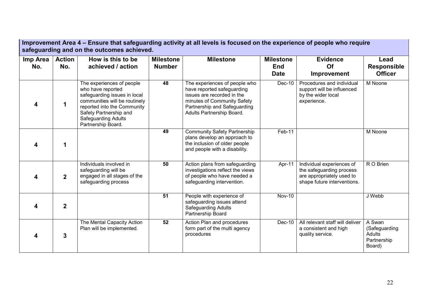| Improvement Area 4 – Ensure that safeguarding activity at all levels is focused on the experience of people who require<br>safeguarding and on the outcomes achieved. |                      |                                                                                                                                                                                                                       |                                   |                                                                                                                                                                                       |                                               |                                                                                                                   |                                                                   |  |  |  |
|-----------------------------------------------------------------------------------------------------------------------------------------------------------------------|----------------------|-----------------------------------------------------------------------------------------------------------------------------------------------------------------------------------------------------------------------|-----------------------------------|---------------------------------------------------------------------------------------------------------------------------------------------------------------------------------------|-----------------------------------------------|-------------------------------------------------------------------------------------------------------------------|-------------------------------------------------------------------|--|--|--|
| Imp Area<br>No.                                                                                                                                                       | <b>Action</b><br>No. | How is this to be<br>achieved / action                                                                                                                                                                                | <b>Milestone</b><br><b>Number</b> | <b>Milestone</b>                                                                                                                                                                      | <b>Milestone</b><br><b>End</b><br><b>Date</b> | <b>Evidence</b><br>Of<br>Improvement                                                                              | Lead<br><b>Responsible</b><br><b>Officer</b>                      |  |  |  |
| 4                                                                                                                                                                     | 1                    | The experiences of people<br>who have reported<br>safeguarding issues in local<br>communities will be routinely<br>reported into the Community<br>Safety Partnership and<br>Safeguarding Adults<br>Partnership Board. | 48                                | The experiences of people who<br>have reported safeguarding<br>issues are recorded in the<br>minutes of Community Safety<br>Partnership and Safeguarding<br>Adults Partnership Board. | Dec-10                                        | Procedures and individual<br>support will be influenced<br>by the wider local<br>experience.                      | M Noone                                                           |  |  |  |
| 4                                                                                                                                                                     | 1                    |                                                                                                                                                                                                                       | 49                                | <b>Community Safety Partnership</b><br>plans develop an approach to<br>the inclusion of older people<br>and people with a disability.                                                 | Feb-11                                        |                                                                                                                   | M Noone                                                           |  |  |  |
|                                                                                                                                                                       | $\mathbf{2}$         | Individuals involved in<br>safeguarding will be<br>engaged in all stages of the<br>safeguarding process                                                                                                               | $\overline{50}$                   | Action plans from safeguarding<br>investigations reflect the views<br>of people who have needed a<br>safeguarding intervention.                                                       | Apr-11                                        | Individual experiences of<br>the safeguarding process<br>are appropriately used to<br>shape future interventions. | R O Brien                                                         |  |  |  |
|                                                                                                                                                                       | $\mathbf{2}$         |                                                                                                                                                                                                                       | $\overline{51}$                   | People with experience of<br>safeguarding issues attend<br><b>Safeguarding Adults</b><br>Partnership Board                                                                            | <b>Nov-10</b>                                 |                                                                                                                   | J Webb                                                            |  |  |  |
|                                                                                                                                                                       | $\mathbf{3}$         | The Mental Capacity Action<br>Plan will be implemented.                                                                                                                                                               | 52                                | Action Plan and procedures<br>form part of the multi agency<br>procedures                                                                                                             | Dec-10                                        | All relevant staff will deliver<br>a consistent and high<br>quality service.                                      | A Swan<br>(Safeguarding<br><b>Adults</b><br>Partnership<br>Board) |  |  |  |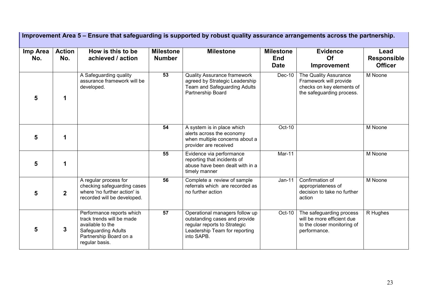|                 |                      |                                                                                                                                                      |                                   | Improvement Area 5 – Ensure that safeguarding is supported by robust quality assurance arrangements across the partnership.                    |                                               |                                                                                                           |                                              |
|-----------------|----------------------|------------------------------------------------------------------------------------------------------------------------------------------------------|-----------------------------------|------------------------------------------------------------------------------------------------------------------------------------------------|-----------------------------------------------|-----------------------------------------------------------------------------------------------------------|----------------------------------------------|
| Imp Area<br>No. | <b>Action</b><br>No. | How is this to be<br>achieved / action                                                                                                               | <b>Milestone</b><br><b>Number</b> | <b>Milestone</b>                                                                                                                               | <b>Milestone</b><br><b>End</b><br><b>Date</b> | <b>Evidence</b><br>Of<br>Improvement                                                                      | Lead<br><b>Responsible</b><br><b>Officer</b> |
| 5               | 1                    | A Safeguarding quality<br>assurance framework will be<br>developed.                                                                                  | $\overline{53}$                   | <b>Quality Assurance framework</b><br>agreed by Strategic Leadership<br>Team and Safeguarding Adults<br>Partnership Board                      | Dec-10                                        | The Quality Assurance<br>Framework will provide<br>checks on key elements of<br>the safeguarding process. | M Noone                                      |
| 5               | 1                    |                                                                                                                                                      | 54                                | A system is in place which<br>alerts across the economy<br>when multiple concerns about a<br>provider are received                             | Oct-10                                        |                                                                                                           | M Noone                                      |
| 5               | 1                    |                                                                                                                                                      | 55                                | Evidence via performance<br>reporting that incidents of<br>abuse have been dealt with in a<br>timely manner                                    | Mar-11                                        |                                                                                                           | M Noone                                      |
| 5               | $\overline{2}$       | A regular process for<br>checking safeguarding cases<br>where 'no further action' is<br>recorded will be developed.                                  | 56                                | Complete a review of sample<br>referrals which are recorded as<br>no further action                                                            | $Jan-11$                                      | Confirmation of<br>appropriateness of<br>decision to take no further<br>action                            | M Noone                                      |
| 5               | 3                    | Performance reports which<br>track trends will be made<br>available to the<br><b>Safeguarding Adults</b><br>Partnership Board on a<br>regular basis. | 57                                | Operational managers follow up<br>outstanding cases and provide<br>regular reports to Strategic<br>Leadership Team for reporting<br>into SAPB. | Oct-10                                        | The safeguarding process<br>will be more efficient due<br>to the closer monitoring of<br>performance.     | R Hughes                                     |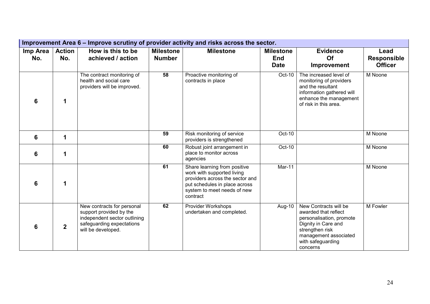| Improvement Area 6 – Improve scrutiny of provider activity and risks across the sector. |                      |                                                                                                                                          |                                   |                                                                                                                                                                           |                                               |                                                                                                                                                                               |                                              |  |  |  |
|-----------------------------------------------------------------------------------------|----------------------|------------------------------------------------------------------------------------------------------------------------------------------|-----------------------------------|---------------------------------------------------------------------------------------------------------------------------------------------------------------------------|-----------------------------------------------|-------------------------------------------------------------------------------------------------------------------------------------------------------------------------------|----------------------------------------------|--|--|--|
| Imp Area<br>No.                                                                         | <b>Action</b><br>No. | How is this to be<br>achieved / action                                                                                                   | <b>Milestone</b><br><b>Number</b> | <b>Milestone</b>                                                                                                                                                          | <b>Milestone</b><br><b>End</b><br><b>Date</b> | <b>Evidence</b><br>Of<br>Improvement                                                                                                                                          | Lead<br><b>Responsible</b><br><b>Officer</b> |  |  |  |
| 6                                                                                       | 1                    | The contract monitoring of<br>health and social care<br>providers will be improved.                                                      | 58                                | Proactive monitoring of<br>contracts in place                                                                                                                             | Oct-10                                        | The increased level of<br>monitoring of providers<br>and the resultant<br>information gathered will<br>enhance the management<br>of risk in this area.                        | M Noone                                      |  |  |  |
| $6\phantom{1}6$                                                                         | 1                    |                                                                                                                                          | 59                                | Risk monitoring of service<br>providers is strengthened                                                                                                                   | Oct-10                                        |                                                                                                                                                                               | M Noone                                      |  |  |  |
| $6\phantom{1}6$                                                                         | 1                    |                                                                                                                                          | 60                                | Robust joint arrangement in<br>place to monitor across<br>agencies                                                                                                        | Oct-10                                        |                                                                                                                                                                               | M Noone                                      |  |  |  |
| 6                                                                                       | 1                    |                                                                                                                                          | 61                                | Share learning from positive<br>work with supported living<br>providers across the sector and<br>put schedules in place across<br>system to meet needs of new<br>contract | Mar-11                                        |                                                                                                                                                                               | M Noone                                      |  |  |  |
| 6                                                                                       | $\mathbf{2}$         | New contracts for personal<br>support provided by the<br>independent sector outlining<br>safeguarding expectations<br>will be developed. | 62                                | Provider Workshops<br>undertaken and completed.                                                                                                                           | Aug-10                                        | New Contracts will be<br>awarded that reflect<br>personalisation, promote<br>Dignity in Care and<br>strengthen risk<br>management associated<br>with safeguarding<br>concerns | M Fowler                                     |  |  |  |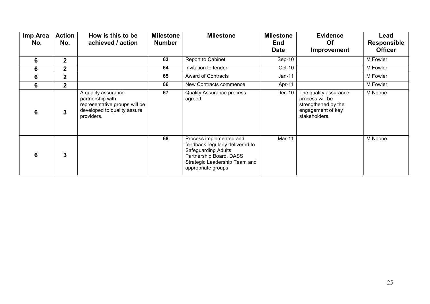| Imp Area<br>No. | <b>Action</b><br>No. | How is this to be<br>achieved / action                                                                                | <b>Milestone</b><br><b>Number</b> | <b>Milestone</b>                                                                                                                                                    | <b>Milestone</b><br><b>End</b><br><b>Date</b> | <b>Evidence</b><br><b>Of</b><br>Improvement                                                           | Lead<br><b>Responsible</b><br><b>Officer</b> |
|-----------------|----------------------|-----------------------------------------------------------------------------------------------------------------------|-----------------------------------|---------------------------------------------------------------------------------------------------------------------------------------------------------------------|-----------------------------------------------|-------------------------------------------------------------------------------------------------------|----------------------------------------------|
| 6               | 2 <sup>1</sup>       |                                                                                                                       | 63                                | Report to Cabinet                                                                                                                                                   | $Sep-10$                                      |                                                                                                       | M Fowler                                     |
| 6               | $\overline{2}$       |                                                                                                                       | 64                                | Invitation to tender                                                                                                                                                | Oct-10                                        |                                                                                                       | M Fowler                                     |
| 6               | $\mathbf{2}$         |                                                                                                                       | 65                                | <b>Award of Contracts</b>                                                                                                                                           | $Jan-11$                                      |                                                                                                       | M Fowler                                     |
| 6               | 2 <sup>1</sup>       |                                                                                                                       | 66                                | New Contracts commence                                                                                                                                              | Apr-11                                        |                                                                                                       | M Fowler                                     |
| 6               | 3                    | A quality assurance<br>partnership with<br>representative groups will be<br>developed to quality assure<br>providers. | 67                                | <b>Quality Assurance process</b><br>agreed                                                                                                                          | Dec-10                                        | The quality assurance<br>process will be<br>strengthened by the<br>engagement of key<br>stakeholders. | M Noone                                      |
| 6               | $\mathbf{3}$         |                                                                                                                       | 68                                | Process implemented and<br>feedback regularly delivered to<br>Safeguarding Adults<br>Partnership Board, DASS<br>Strategic Leadership Team and<br>appropriate groups | Mar-11                                        |                                                                                                       | M Noone                                      |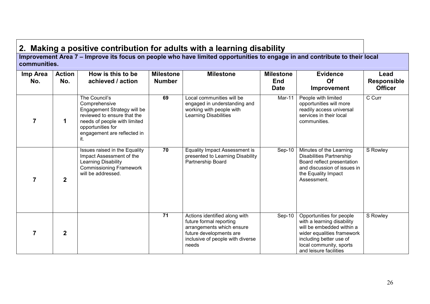2. Making a positive contribution for adults with a learning disability Improvement Area 7 – Improve its focus on people who have limited opportunities to engage in and contribute to their local communities.

| Imp Area<br>No. | <b>Action</b><br>No. | How is this to be<br>achieved / action                                                                                                                                                  | <b>Milestone</b><br><b>Number</b> | <b>Milestone</b>                                                                                                                                              | <b>Milestone</b><br><b>End</b><br><b>Date</b> | <b>Evidence</b><br>Of<br><b>Improvement</b>                                                                                                                                                       | Lead<br><b>Responsible</b><br><b>Officer</b> |
|-----------------|----------------------|-----------------------------------------------------------------------------------------------------------------------------------------------------------------------------------------|-----------------------------------|---------------------------------------------------------------------------------------------------------------------------------------------------------------|-----------------------------------------------|---------------------------------------------------------------------------------------------------------------------------------------------------------------------------------------------------|----------------------------------------------|
|                 | 1                    | The Council's<br>Comprehensive<br>Engagement Strategy will be<br>reviewed to ensure that the<br>needs of people with limited<br>opportunities for<br>engagement are reflected in<br>it. | 69                                | Local communities will be<br>engaged in understanding and<br>working with people with<br><b>Learning Disabilities</b>                                         | Mar-11                                        | People with limited<br>opportunities will more<br>readily access universal<br>services in their local<br>communities.                                                                             | C Curr                                       |
|                 | $\overline{2}$       | Issues raised in the Equality<br>Impact Assessment of the<br>Learning Disability<br><b>Commissioning Framework</b><br>will be addressed.                                                | 70                                | Equality Impact Assessment is<br>presented to Learning Disability<br>Partnership Board                                                                        | $Sep-10$                                      | Minutes of the Learning<br><b>Disabilities Partnership</b><br>Board reflect presentation<br>and discussion of issues in<br>the Equality Impact<br>Assessment.                                     | S Rowley                                     |
| 7               | $\overline{2}$       |                                                                                                                                                                                         | 71                                | Actions identified along with<br>future formal reporting<br>arrangements which ensure<br>future developments are<br>inclusive of people with diverse<br>needs | $Sep-10$                                      | Opportunities for people<br>with a learning disability<br>will be embedded within a<br>wider equalities framework<br>including better use of<br>local community, sports<br>and leisure facilities | S Rowley                                     |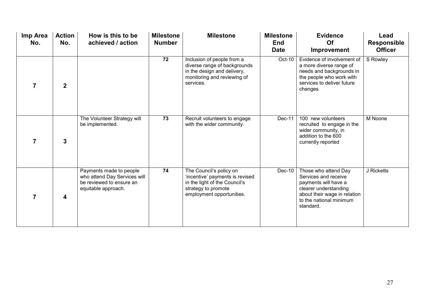| Imp Area<br>No. | <b>Action</b><br>No. | How is this to be<br>achieved / action                                                                     | <b>Milestone</b><br><b>Number</b> | <b>Milestone</b>                                                                                                                                | <b>Milestone</b><br><b>End</b><br><b>Date</b> | <b>Evidence</b><br>Of<br>Improvement                                                                                                                                  | Lead<br><b>Responsible</b><br><b>Officer</b> |
|-----------------|----------------------|------------------------------------------------------------------------------------------------------------|-----------------------------------|-------------------------------------------------------------------------------------------------------------------------------------------------|-----------------------------------------------|-----------------------------------------------------------------------------------------------------------------------------------------------------------------------|----------------------------------------------|
| 7               | $\overline{2}$       |                                                                                                            | 72                                | Inclusion of people from a<br>diverse range of backgrounds<br>in the design and delivery,<br>monitoring and reviewing of<br>services.           | Oct-10                                        | Evidence of involvement of<br>a more diverse range of<br>needs and backgrounds in<br>the people who work with<br>services to deliver future<br>changes                | S Rowley                                     |
| 7               | 3                    | The Volunteer Strategy will<br>be implemented.                                                             | 73                                | Recruit volunteers to engage<br>with the wider community.                                                                                       | Dec-11                                        | 100 new volunteers<br>recruited to engage in the<br>wider community, in<br>addition to the 600<br>currently reported                                                  | M Noone                                      |
| 7               | 4                    | Payments made to people<br>who attend Day Services will<br>be reviewed to ensure an<br>equitable approach. | 74                                | The Council's policy on<br>'incentive' payments is revised<br>in the light of the Council's<br>strategy to promote<br>employment opportunities. | Dec-10                                        | Those who attend Day<br>Services and receive<br>payments will have a<br>clearer understanding<br>about their wage in relation<br>to the national minimum<br>standard. | J Ricketts                                   |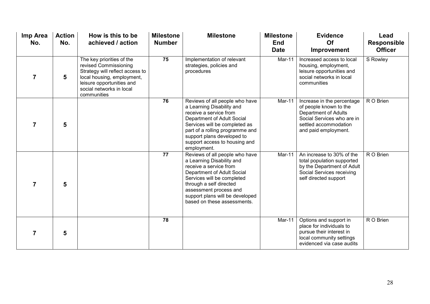| Imp Area<br>No. | <b>Action</b><br>No. | How is this to be<br>achieved / action                                                                                                                                                      | <b>Milestone</b><br><b>Number</b> | <b>Milestone</b>                                                                                                                                                                                                                                                         | <b>Milestone</b><br><b>End</b><br><b>Date</b> | <b>Evidence</b><br>Of<br>Improvement                                                                                                                        | Lead<br>Responsible<br><b>Officer</b> |
|-----------------|----------------------|---------------------------------------------------------------------------------------------------------------------------------------------------------------------------------------------|-----------------------------------|--------------------------------------------------------------------------------------------------------------------------------------------------------------------------------------------------------------------------------------------------------------------------|-----------------------------------------------|-------------------------------------------------------------------------------------------------------------------------------------------------------------|---------------------------------------|
| 7               | 5                    | The key priorities of the<br>revised Commissioning<br>Strategy will reflect access to<br>local housing, employment,<br>leisure opportunities and<br>social networks in local<br>communities | 75                                | Implementation of relevant<br>strategies, policies and<br>procedures                                                                                                                                                                                                     | Mar-11                                        | Increased access to local<br>housing, employment,<br>leisure opportunities and<br>social networks in local<br>communities                                   | S Rowley                              |
| 7               | 5                    |                                                                                                                                                                                             | 76                                | Reviews of all people who have<br>a Learning Disability and<br>receive a service from<br>Department of Adult Social<br>Services will be completed as<br>part of a rolling programme and<br>support plans developed to<br>support access to housing and<br>employment.    | Mar-11                                        | Increase in the percentage<br>of people known to the<br>Department of Adults<br>Social Services who are in<br>settled accommodation<br>and paid employment. | R O Brien                             |
| $\overline{7}$  | 5                    |                                                                                                                                                                                             | $\overline{77}$                   | Reviews of all people who have<br>a Learning Disability and<br>receive a service from<br>Department of Adult Social<br>Services will be completed<br>through a self directed<br>assessment process and<br>support plans will be developed<br>based on these assessments. | Mar-11                                        | An increase to 30% of the<br>total population supported<br>by the Department of Adult<br>Social Services receiving<br>self directed support                 | R O Brien                             |
| 7               | 5                    |                                                                                                                                                                                             | 78                                |                                                                                                                                                                                                                                                                          | Mar-11                                        | Options and support in<br>place for individuals to<br>pursue their interest in<br>local community settings<br>evidenced via case audits                     | R O Brien                             |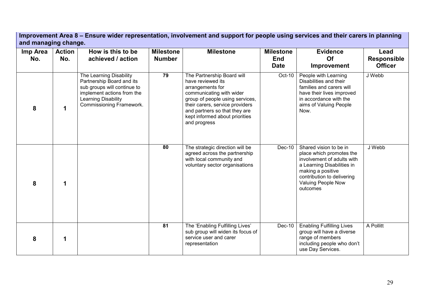Improvement Area 8 – Ensure wider representation, involvement and support for people using services and their carers in planning and managing change.

| Imp Area<br>No. | <b>Action</b><br>No. | How is this to be<br>achieved / action                                                                                                                               | <b>Milestone</b><br><b>Number</b> | <b>Milestone</b>                                                                                                                                                                                                                                         | <b>Milestone</b><br><b>End</b><br><b>Date</b> | <b>Evidence</b><br>Of<br>Improvement                                                                                                                                                                | Lead<br><b>Responsible</b><br><b>Officer</b> |
|-----------------|----------------------|----------------------------------------------------------------------------------------------------------------------------------------------------------------------|-----------------------------------|----------------------------------------------------------------------------------------------------------------------------------------------------------------------------------------------------------------------------------------------------------|-----------------------------------------------|-----------------------------------------------------------------------------------------------------------------------------------------------------------------------------------------------------|----------------------------------------------|
| 8               |                      | The Learning Disability<br>Partnership Board and its<br>sub groups will continue to<br>implement actions from the<br>Learning Disability<br>Commissioning Framework. | 79                                | The Partnership Board will<br>have reviewed its<br>arrangements for<br>communicating with wider<br>group of people using services,<br>their carers, service providers<br>and partners so that they are<br>kept informed about priorities<br>and progress | Oct-10                                        | People with Learning<br>Disabilities and their<br>families and carers will<br>have their lives improved<br>in accordance with the<br>aims of Valuing People<br>Now.                                 | J Webb                                       |
| 8               | 1                    |                                                                                                                                                                      | 80                                | The strategic direction will be<br>agreed across the partnership<br>with local community and<br>voluntary sector organisations                                                                                                                           | Dec-10                                        | Shared vision to be in<br>place which promotes the<br>involvement of adults with<br>a Learning Disabilities in<br>making a positive<br>contribution to delivering<br>Valuing People Now<br>outcomes | J Webb                                       |
| 8               | 1                    |                                                                                                                                                                      | 81                                | The 'Enabling Fulfilling Lives'<br>sub group will widen its focus of<br>service user and carer<br>representation                                                                                                                                         | Dec-10                                        | <b>Enabling Fulfilling Lives</b><br>group will have a diverse<br>range of members<br>including people who don't<br>use Day Services.                                                                | A Pollitt                                    |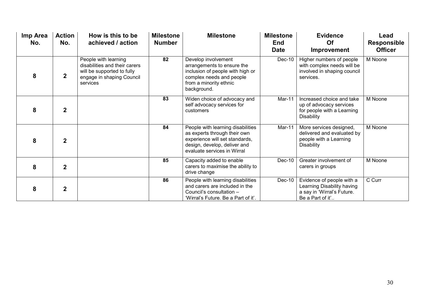| Imp Area<br>No. | <b>Action</b><br>No. | How is this to be<br>achieved / action                                                                                       | <b>Milestone</b><br><b>Number</b> | <b>Milestone</b>                                                                                                                                                   | <b>Milestone</b><br><b>End</b><br><b>Date</b> | <b>Evidence</b><br>Of<br><b>Improvement</b>                                                               | Lead<br><b>Responsible</b><br><b>Officer</b> |
|-----------------|----------------------|------------------------------------------------------------------------------------------------------------------------------|-----------------------------------|--------------------------------------------------------------------------------------------------------------------------------------------------------------------|-----------------------------------------------|-----------------------------------------------------------------------------------------------------------|----------------------------------------------|
| 8               | $\mathbf{2}$         | People with learning<br>disabilities and their carers<br>will be supported to fully<br>engage in shaping Council<br>services | 82                                | Develop involvement<br>arrangements to ensure the<br>inclusion of people with high or<br>complex needs and people<br>from a minority ethnic<br>background.         | Dec-10                                        | Higher numbers of people<br>with complex needs will be<br>involved in shaping council<br>services.        | M Noone                                      |
| 8               | $\mathbf{2}$         |                                                                                                                              | 83                                | Widen choice of advocacy and<br>self advocacy services for<br>customers                                                                                            | Mar-11                                        | Increased choice and take<br>up of advocacy services<br>for people with a Learning<br><b>Disability</b>   | M Noone                                      |
| 8               | $\overline{2}$       |                                                                                                                              | 84                                | People with learning disabilities<br>as experts through their own<br>experience will set standards,<br>design, develop, deliver and<br>evaluate services in Wirral | Mar-11                                        | More services designed,<br>delivered and evaluated by<br>people with a Learning<br><b>Disability</b>      | M Noone                                      |
| 8               | $\mathbf{2}$         |                                                                                                                              | 85                                | Capacity added to enable<br>carers to maximise the ability to<br>drive change                                                                                      | Dec-10                                        | Greater involvement of<br>carers in groups                                                                | M Noone                                      |
| 8               | $\overline{2}$       |                                                                                                                              | 86                                | People with learning disabilities<br>and carers are included in the<br>Council's consultation -<br>'Wirral's Future. Be a Part of it'.                             | Dec-10                                        | Evidence of people with a<br>Learning Disability having<br>a say in 'Wirral's Future.<br>Be a Part of it' | C Curr                                       |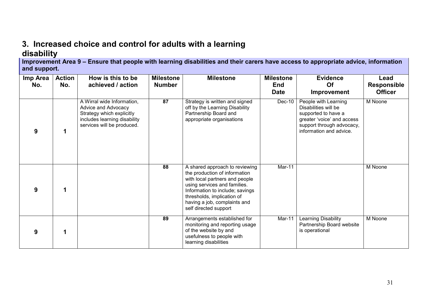# 3. Increased choice and control for adults with a learning disability

 Improvement Area 9 – Ensure that people with learning disabilities and their carers have access to appropriate advice, information and support.

| Imp Area<br>No. | <b>Action</b><br>No. | How is this to be<br>achieved / action                                                                                                       | <b>Milestone</b><br><b>Number</b> | <b>Milestone</b>                                                                                                                                                                                                                                            | <b>Milestone</b><br><b>End</b><br><b>Date</b> | <b>Evidence</b><br><b>Of</b><br><b>Improvement</b>                                                                                                        | Lead<br><b>Responsible</b><br><b>Officer</b> |
|-----------------|----------------------|----------------------------------------------------------------------------------------------------------------------------------------------|-----------------------------------|-------------------------------------------------------------------------------------------------------------------------------------------------------------------------------------------------------------------------------------------------------------|-----------------------------------------------|-----------------------------------------------------------------------------------------------------------------------------------------------------------|----------------------------------------------|
| 9               | 1                    | A Wirral wide Information,<br>Advice and Advocacy<br>Strategy which explicitly<br>includes learning disability<br>services will be produced. | 87                                | Strategy is written and signed<br>off by the Learning Disability<br>Partnership Board and<br>appropriate organisations                                                                                                                                      | $Dec-10$                                      | People with Learning<br>Disabilities will be<br>supported to have a<br>greater 'voice' and access<br>support through advocacy,<br>information and advice. | M Noone                                      |
| 9               | 1                    |                                                                                                                                              | 88                                | A shared approach to reviewing<br>the production of information<br>with local partners and people<br>using services and families.<br>Information to include; savings<br>thresholds, implication of<br>having a job, complaints and<br>self directed support | Mar-11                                        |                                                                                                                                                           | M Noone                                      |
| 9               |                      |                                                                                                                                              | 89                                | Arrangements established for<br>monitoring and reporting usage<br>of the website by and<br>usefulness to people with<br>learning disabilities                                                                                                               | Mar-11                                        | Learning Disability<br>Partnership Board website<br>is operational                                                                                        | M Noone                                      |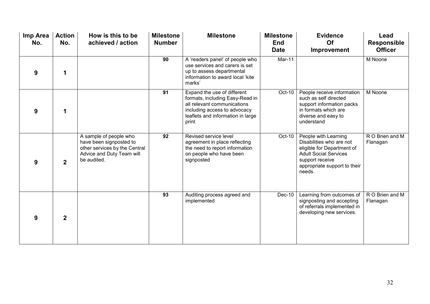| Imp Area<br>No. | <b>Action</b><br>No. | How is this to be<br>achieved / action                                                                                         | <b>Milestone</b><br><b>Number</b> | <b>Milestone</b>                                                                                                                                                            | <b>Milestone</b><br><b>End</b><br><b>Date</b> | <b>Evidence</b><br>Of<br>Improvement                                                                                                                                        | Lead<br><b>Responsible</b><br><b>Officer</b> |
|-----------------|----------------------|--------------------------------------------------------------------------------------------------------------------------------|-----------------------------------|-----------------------------------------------------------------------------------------------------------------------------------------------------------------------------|-----------------------------------------------|-----------------------------------------------------------------------------------------------------------------------------------------------------------------------------|----------------------------------------------|
| 9               | 1                    |                                                                                                                                | 90                                | A 'readers panel' of people who<br>use services and carers is set<br>up to assess departmental<br>information to award local 'kite<br>marks'                                | Mar-11                                        |                                                                                                                                                                             | M Noone                                      |
| 9               | 1                    |                                                                                                                                | 91                                | Expand the use of different<br>formats, including Easy-Read in<br>all relevant communications<br>including access to advocacy<br>leaflets and information in large<br>print | Oct-10                                        | People receive information<br>such as self directed<br>support information packs<br>in formats which are<br>diverse and easy to<br>understand                               | M Noone                                      |
| 9               | $\overline{2}$       | A sample of people who<br>have been signposted to<br>other services by the Central<br>Advice and Duty Team will<br>be audited. | $\overline{92}$                   | Revised service level<br>agreement in place reflecting<br>the need to report information<br>on people who have been<br>signposted                                           | Oct-10                                        | People with Learning<br>Disabilities who are not<br>eligible for Department of<br><b>Adult Social Services</b><br>support receive<br>appropriate support to their<br>needs. | R O Brien and M<br>Flanagan                  |
| 9               | $\overline{2}$       |                                                                                                                                | 93                                | Auditing process agreed and<br>implemented                                                                                                                                  | Dec-10                                        | Learning from outcomes of<br>signposting and accepting<br>of referrals implemented in<br>developing new services.                                                           | R O Brien and M<br>Flanagan                  |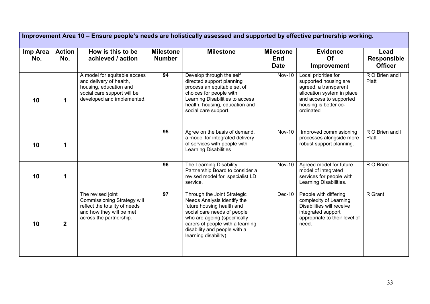|                 | Improvement Area 10 - Ensure people's needs are holistically assessed and supported by effective partnership working. |                                                                                                                                                 |                                   |                                                                                                                                                                                                                                                    |                                               |                                                                                                                                                                       |                                              |  |  |  |
|-----------------|-----------------------------------------------------------------------------------------------------------------------|-------------------------------------------------------------------------------------------------------------------------------------------------|-----------------------------------|----------------------------------------------------------------------------------------------------------------------------------------------------------------------------------------------------------------------------------------------------|-----------------------------------------------|-----------------------------------------------------------------------------------------------------------------------------------------------------------------------|----------------------------------------------|--|--|--|
| Imp Area<br>No. | <b>Action</b><br>No.                                                                                                  | How is this to be<br>achieved / action                                                                                                          | <b>Milestone</b><br><b>Number</b> | <b>Milestone</b>                                                                                                                                                                                                                                   | <b>Milestone</b><br><b>End</b><br><b>Date</b> | <b>Evidence</b><br>Of<br>Improvement                                                                                                                                  | Lead<br><b>Responsible</b><br><b>Officer</b> |  |  |  |
| 10              | $\mathbf 1$                                                                                                           | A model for equitable access<br>and delivery of health,<br>housing, education and<br>social care support will be<br>developed and implemented.  | 94                                | Develop through the self<br>directed support planning<br>process an equitable set of<br>choices for people with<br>Learning Disabilities to access<br>health, housing, education and<br>social care support.                                       | <b>Nov-10</b>                                 | Local priorities for<br>supported housing are<br>agreed, a transparent<br>allocation system in place<br>and access to supported<br>housing is better co-<br>ordinated | R O Brien and I<br>Platt                     |  |  |  |
| 10              | 1                                                                                                                     |                                                                                                                                                 | 95                                | Agree on the basis of demand,<br>a model for integrated delivery<br>of services with people with<br><b>Learning Disabilities</b>                                                                                                                   | <b>Nov-10</b>                                 | Improved commissioning<br>processes alongside more<br>robust support planning.                                                                                        | R O Brien and I<br>Platt                     |  |  |  |
| 10              | 1                                                                                                                     |                                                                                                                                                 | 96                                | The Learning Disability<br>Partnership Board to consider a<br>revised model for specialist LD<br>service.                                                                                                                                          | <b>Nov-10</b>                                 | Agreed model for future<br>model of integrated<br>services for people with<br>Learning Disabilities.                                                                  | R O Brien                                    |  |  |  |
| 10              | $\mathbf{2}$                                                                                                          | The revised joint<br><b>Commissioning Strategy will</b><br>reflect the totality of needs<br>and how they will be met<br>across the partnership. | 97                                | Through the Joint Strategic<br>Needs Analysis identify the<br>future housing health and<br>social care needs of people<br>who are ageing (specifically<br>carers of people with a learning<br>disability and people with a<br>learning disability) | Dec-10                                        | People with differing<br>complexity of Learning<br>Disabilities will receive<br>integrated support<br>appropriate to their level of<br>need.                          | R Grant                                      |  |  |  |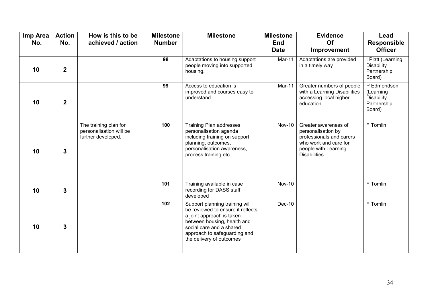| Imp Area<br>No. | <b>Action</b><br>No.    | How is this to be<br>achieved / action                                 | <b>Milestone</b><br><b>Number</b> | <b>Milestone</b>                                                                                                                                                                                                        | <b>Milestone</b><br><b>End</b><br><b>Date</b> | <b>Evidence</b><br>Of<br>Improvement                                                                                                           | Lead<br><b>Responsible</b><br><b>Officer</b>                           |
|-----------------|-------------------------|------------------------------------------------------------------------|-----------------------------------|-------------------------------------------------------------------------------------------------------------------------------------------------------------------------------------------------------------------------|-----------------------------------------------|------------------------------------------------------------------------------------------------------------------------------------------------|------------------------------------------------------------------------|
| 10              | $\overline{\mathbf{2}}$ |                                                                        | 98                                | Adaptations to housing support<br>people moving into supported<br>housing.                                                                                                                                              | Mar-11                                        | Adaptations are provided<br>in a timely way                                                                                                    | I Platt (Learning<br>Disability<br>Partnership<br>Board)               |
| 10              | $\overline{2}$          |                                                                        | 99                                | Access to education is<br>improved and courses easy to<br>understand                                                                                                                                                    | Mar-11                                        | Greater numbers of people<br>with a Learning Disabilities<br>accessing local higher<br>education.                                              | P Edmondson<br>(Learning<br><b>Disability</b><br>Partnership<br>Board) |
| 10              | $\overline{3}$          | The training plan for<br>personalisation will be<br>further developed. | 100                               | <b>Training Plan addresses</b><br>personalisation agenda<br>including training on support<br>planning, outcomes,<br>personalisation awareness,<br>process training etc                                                  | $Nov-10$                                      | Greater awareness of<br>personalisation by<br>professionals and carers<br>who work and care for<br>people with Learning<br><b>Disabilities</b> | F Tomlin                                                               |
| 10              | $\mathbf{3}$            |                                                                        | 101                               | Training available in case<br>recording for DASS staff<br>developed                                                                                                                                                     | <b>Nov-10</b>                                 |                                                                                                                                                | F Tomlin                                                               |
| 10              | $\overline{3}$          |                                                                        | 102                               | Support planning training will<br>be reviewed to ensure it reflects<br>a joint approach is taken<br>between housing, health and<br>social care and a shared<br>approach to safeguarding and<br>the delivery of outcomes | Dec-10                                        |                                                                                                                                                | F Tomlin                                                               |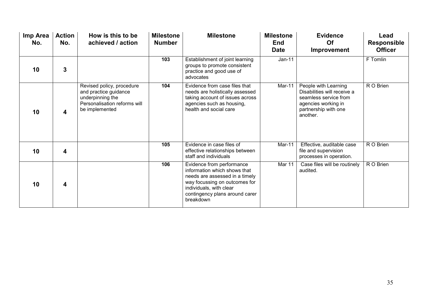| Imp Area<br>No. | <b>Action</b><br>No. | How is this to be<br>achieved / action                                                                                   | <b>Milestone</b><br><b>Number</b> | <b>Milestone</b>                                                                                                                                                                                       | <b>Milestone</b><br><b>End</b><br><b>Date</b> | <b>Evidence</b><br><b>Of</b><br>Improvement                                                                                             | Lead<br><b>Responsible</b><br><b>Officer</b> |
|-----------------|----------------------|--------------------------------------------------------------------------------------------------------------------------|-----------------------------------|--------------------------------------------------------------------------------------------------------------------------------------------------------------------------------------------------------|-----------------------------------------------|-----------------------------------------------------------------------------------------------------------------------------------------|----------------------------------------------|
| 10              | $\mathbf{3}$         |                                                                                                                          | 103                               | Establishment of joint learning<br>groups to promote consistent<br>practice and good use of<br>advocates                                                                                               | $Jan-11$                                      |                                                                                                                                         | F Tomlin                                     |
| 10              | 4                    | Revised policy, procedure<br>and practice guidance<br>underpinning the<br>Personalisation reforms will<br>be implemented | 104                               | Evidence from case files that<br>needs are holistically assessed<br>taking account of issues across<br>agencies such as housing,<br>health and social care                                             | Mar-11                                        | People with Learning<br>Disabilities will receive a<br>seamless service from<br>agencies working in<br>partnership with one<br>another. | R O Brien                                    |
| 10              | 4                    |                                                                                                                          | 105                               | Evidence in case files of<br>effective relationships between<br>staff and individuals                                                                                                                  | Mar-11                                        | Effective, auditable case<br>file and supervision<br>processes in operation.                                                            | R O Brien                                    |
| 10              | 4                    |                                                                                                                          | 106                               | Evidence from performance<br>information which shows that<br>needs are assessed in a timely<br>way focussing on outcomes for<br>individuals, with clear<br>contingency plans around carer<br>breakdown | Mar 11                                        | Case files will be routinely<br>audited.                                                                                                | R O Brien                                    |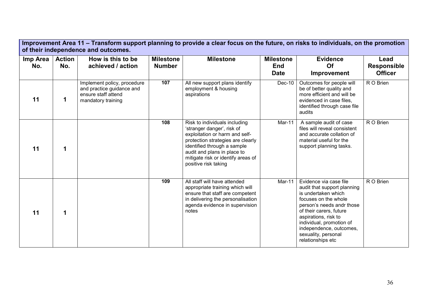| Improvement Area 11 – Transform support planning to provide a clear focus on the future, on risks to individuals, on the promotion<br>of their independence and outcomes. |                      |                                                                                                       |                                   |                                                                                                                                                                                                                                                                |                                               |                                                                                                                                                                                                                                                                                         |                                              |  |  |  |
|---------------------------------------------------------------------------------------------------------------------------------------------------------------------------|----------------------|-------------------------------------------------------------------------------------------------------|-----------------------------------|----------------------------------------------------------------------------------------------------------------------------------------------------------------------------------------------------------------------------------------------------------------|-----------------------------------------------|-----------------------------------------------------------------------------------------------------------------------------------------------------------------------------------------------------------------------------------------------------------------------------------------|----------------------------------------------|--|--|--|
| Imp Area<br>No.                                                                                                                                                           | <b>Action</b><br>No. | How is this to be<br>achieved / action                                                                | <b>Milestone</b><br><b>Number</b> | <b>Milestone</b>                                                                                                                                                                                                                                               | <b>Milestone</b><br><b>End</b><br><b>Date</b> | <b>Evidence</b><br>Of<br>Improvement                                                                                                                                                                                                                                                    | Lead<br><b>Responsible</b><br><b>Officer</b> |  |  |  |
| 11                                                                                                                                                                        | 1                    | Implement policy, procedure<br>and practice guidance and<br>ensure staff attend<br>mandatory training | 107                               | All new support plans identify<br>employment & housing<br>aspirations                                                                                                                                                                                          | Dec-10                                        | Outcomes for people will<br>be of better quality and<br>more efficient and will be<br>evidenced in case files,<br>identified through case file<br>audits                                                                                                                                | R O Brien                                    |  |  |  |
| 11                                                                                                                                                                        | 1                    |                                                                                                       | 108                               | Risk to individuals including<br>'stranger danger', risk of<br>exploitation or harm and self-<br>protection strategies are clearly<br>identified through a sample<br>audit and plans in place to<br>mitigate risk or identify areas of<br>positive risk taking | Mar-11                                        | A sample audit of case<br>files will reveal consistent<br>and accurate collation of<br>material useful for the<br>support planning tasks.                                                                                                                                               | R O Brien                                    |  |  |  |
| 11                                                                                                                                                                        | 1                    |                                                                                                       | 109                               | All staff will have attended<br>appropriate training which will<br>ensure that staff are competent<br>in delivering the personalisation<br>agenda evidence in supervision<br>notes                                                                             | Mar-11                                        | Evidence via case file<br>audit that support planning<br>is undertaken which<br>focuses on the whole<br>person's needs andr those<br>of their carers, future<br>aspirations, risk to<br>individual, promotion of<br>independence, outcomes,<br>sexuality, personal<br>relationships etc | R O Brien                                    |  |  |  |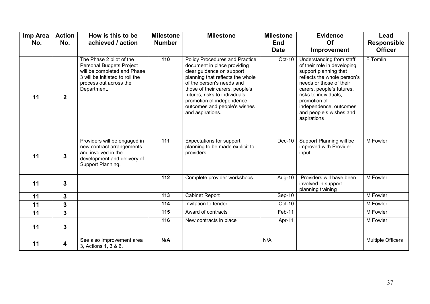| Imp Area<br>No. | <b>Action</b><br>No. | How is this to be<br>achieved / action                                                                                                                                 | <b>Milestone</b><br><b>Number</b> | <b>Milestone</b>                                                                                                                                                                                                                                                                                                   | <b>Milestone</b><br><b>End</b><br><b>Date</b> | <b>Evidence</b><br>Of<br>Improvement                                                                                                                                                                                                                                                 | Lead<br>Responsible<br><b>Officer</b> |
|-----------------|----------------------|------------------------------------------------------------------------------------------------------------------------------------------------------------------------|-----------------------------------|--------------------------------------------------------------------------------------------------------------------------------------------------------------------------------------------------------------------------------------------------------------------------------------------------------------------|-----------------------------------------------|--------------------------------------------------------------------------------------------------------------------------------------------------------------------------------------------------------------------------------------------------------------------------------------|---------------------------------------|
| 11              | $\boldsymbol{2}$     | The Phase 2 pilot of the<br><b>Personal Budgets Project</b><br>will be completed and Phase<br>3 will be initiated to roll the<br>process out across the<br>Department. | 110                               | Policy Procedures and Practice<br>document in place providing<br>clear guidance on support<br>planning that reflects the whole<br>of the person's needs and<br>those of their carers, people's<br>futures, risks to individuals,<br>promotion of independence,<br>outcomes and people's wishes<br>and aspirations. | Oct-10                                        | Understanding from staff<br>of their role in developing<br>support planning that<br>reflects the whole person's<br>needs or those of their<br>carers, people's futures,<br>risks to individuals,<br>promotion of<br>independence, outcomes<br>and people's wishes and<br>aspirations | F Tomlin                              |
| 11              | 3                    | Providers will be engaged in<br>new contract arrangements<br>and involved in the<br>development and delivery of<br>Support Planning.                                   | 111                               | <b>Expectations for support</b><br>planning to be made explicit to<br>providers                                                                                                                                                                                                                                    | Dec-10                                        | Support Planning will be<br>improved with Provider<br>input.                                                                                                                                                                                                                         | M Fowler                              |
| 11              | 3                    |                                                                                                                                                                        | $\frac{1}{112}$                   | Complete provider workshops                                                                                                                                                                                                                                                                                        | Aug-10                                        | Providers will have been<br>involved in support<br>planning training                                                                                                                                                                                                                 | M Fowler                              |
| 11              | 3                    |                                                                                                                                                                        | $\overline{113}$                  | <b>Cabinet Report</b>                                                                                                                                                                                                                                                                                              | $Sep-10$                                      |                                                                                                                                                                                                                                                                                      | M Fowler                              |
| 11              | 3                    |                                                                                                                                                                        | 114                               | Invitation to tender                                                                                                                                                                                                                                                                                               | Oct-10                                        |                                                                                                                                                                                                                                                                                      | M Fowler                              |
| 11              | $\mathbf{3}$         |                                                                                                                                                                        | 115                               | Award of contracts                                                                                                                                                                                                                                                                                                 | Feb-11                                        |                                                                                                                                                                                                                                                                                      | M Fowler                              |
| 11              | $\mathbf{3}$         |                                                                                                                                                                        | 116                               | New contracts in place                                                                                                                                                                                                                                                                                             | Apr-11                                        |                                                                                                                                                                                                                                                                                      | M Fowler                              |
| 11              | 4                    | See also Improvement area<br>3, Actions 1, 3 & 6.                                                                                                                      | N/A                               |                                                                                                                                                                                                                                                                                                                    | N/A                                           |                                                                                                                                                                                                                                                                                      | <b>Multiple Officers</b>              |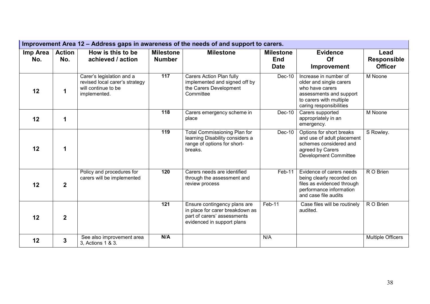|                 | Improvement Area 12 – Address gaps in awareness of the needs of and support to carers. |                                                                                                    |                                   |                                                                                                                              |                                               |                                                                                                                                                      |                                              |  |  |  |  |
|-----------------|----------------------------------------------------------------------------------------|----------------------------------------------------------------------------------------------------|-----------------------------------|------------------------------------------------------------------------------------------------------------------------------|-----------------------------------------------|------------------------------------------------------------------------------------------------------------------------------------------------------|----------------------------------------------|--|--|--|--|
| Imp Area<br>No. | <b>Action</b><br>No.                                                                   | How is this to be<br>achieved / action                                                             | <b>Milestone</b><br><b>Number</b> | <b>Milestone</b>                                                                                                             | <b>Milestone</b><br><b>End</b><br><b>Date</b> | <b>Evidence</b><br>Of<br>Improvement                                                                                                                 | Lead<br><b>Responsible</b><br><b>Officer</b> |  |  |  |  |
| 12              | 1                                                                                      | Carer's legislation and a<br>revised local carer's strategy<br>will continue to be<br>implemented. | $\frac{117}{117}$                 | Carers Action Plan fully<br>implemented and signed off by<br>the Carers Development<br>Committee                             | Dec-10                                        | Increase in number of<br>older and single carers<br>who have carers<br>assessments and support<br>to carers with multiple<br>caring responsibilities | M Noone                                      |  |  |  |  |
| 12              | 1                                                                                      |                                                                                                    | 118                               | Carers emergency scheme in<br>place                                                                                          | Dec-10                                        | Carers supported<br>appropriately in an<br>emergency.                                                                                                | M Noone                                      |  |  |  |  |
| 12              | 1                                                                                      |                                                                                                    | 119                               | <b>Total Commissioning Plan for</b><br>learning Disability considers a<br>range of options for short-<br>breaks.             | $Dec-10$                                      | Options for short breaks<br>and use of adult placement<br>schemes considered and<br>agreed by Carers<br><b>Development Committee</b>                 | S Rowley.                                    |  |  |  |  |
| 12              | $\overline{2}$                                                                         | Policy and procedures for<br>carers will be implemented                                            | 120                               | Carers needs are identified<br>through the assessment and<br>review process                                                  | Feb-11                                        | Evidence of carers needs<br>being clearly recorded on<br>files as evidenced through<br>performance information<br>and case file audits               | R O Brien                                    |  |  |  |  |
| 12              | $\mathbf{2}$                                                                           |                                                                                                    | 121                               | Ensure contingency plans are<br>in place for carer breakdown as<br>part of carers' assessments<br>evidenced in support plans | Feb-11                                        | Case files will be routinely<br>audited.                                                                                                             | R O Brien                                    |  |  |  |  |
| 12              | $\overline{3}$                                                                         | See also improvement area<br>3, Actions 1 & 3.                                                     | N/A                               |                                                                                                                              | N/A                                           |                                                                                                                                                      | <b>Multiple Officers</b>                     |  |  |  |  |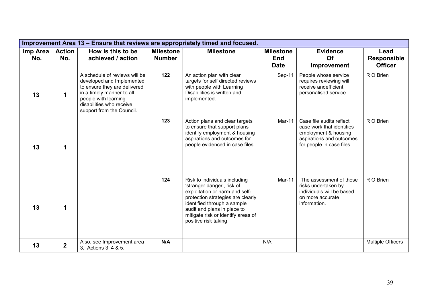|                 | Improvement Area 13 – Ensure that reviews are appropriately timed and focused. |                                                                                                                                                                                                          |                                   |                                                                                                                                                                                                                                                                |                                               |                                                                                                                                       |                                              |  |  |  |  |
|-----------------|--------------------------------------------------------------------------------|----------------------------------------------------------------------------------------------------------------------------------------------------------------------------------------------------------|-----------------------------------|----------------------------------------------------------------------------------------------------------------------------------------------------------------------------------------------------------------------------------------------------------------|-----------------------------------------------|---------------------------------------------------------------------------------------------------------------------------------------|----------------------------------------------|--|--|--|--|
| Imp Area<br>No. | <b>Action</b><br>No.                                                           | How is this to be<br>achieved / action                                                                                                                                                                   | <b>Milestone</b><br><b>Number</b> | <b>Milestone</b>                                                                                                                                                                                                                                               | <b>Milestone</b><br><b>End</b><br><b>Date</b> | <b>Evidence</b><br>Of<br><b>Improvement</b>                                                                                           | Lead<br><b>Responsible</b><br><b>Officer</b> |  |  |  |  |
| 13              | 1                                                                              | A schedule of reviews will be<br>developed and Implemented<br>to ensure they are delivered<br>in a timely manner to all<br>people with learning<br>disabilities who receive<br>support from the Council. | $\overline{122}$                  | An action plan with clear<br>targets for self directed reviews<br>with people with Learning<br>Disabilities is written and<br>implemented.                                                                                                                     | Sep-11                                        | People whose service<br>requires reviewing will<br>receive andefficient,<br>personalised service.                                     | R O Brien                                    |  |  |  |  |
| 13              | 1                                                                              |                                                                                                                                                                                                          | 123                               | Action plans and clear targets<br>to ensure that support plans<br>identify employment & housing<br>aspirations and outcomes for<br>people evidenced in case files                                                                                              | Mar-11                                        | Case file audits reflect<br>case work that identifies<br>employment & housing<br>aspirations and outcomes<br>for people in case files | R O Brien                                    |  |  |  |  |
| 13              | 1                                                                              |                                                                                                                                                                                                          | 124                               | Risk to individuals including<br>'stranger danger', risk of<br>exploitation or harm and self-<br>protection strategies are clearly<br>identified through a sample<br>audit and plans in place to<br>mitigate risk or identify areas of<br>positive risk taking | Mar-11                                        | The assessment of those<br>risks undertaken by<br>individuals will be based<br>on more accurate<br>information.                       | R O Brien                                    |  |  |  |  |
| 13              | $\overline{2}$                                                                 | Also, see Improvement area<br>3, Actions 3, 4 & 5.                                                                                                                                                       | N/A                               |                                                                                                                                                                                                                                                                | N/A                                           |                                                                                                                                       | Multiple Officers                            |  |  |  |  |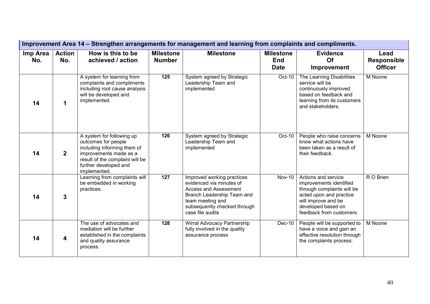|                 | Improvement Area 14 – Strengthen arrangements for management and learning from complaints and compliments. |                                                                                                                                                                                       |                                   |                                                                                                                                                                                              |                                               |                                                                                                                                                                                  |                                              |  |  |  |  |
|-----------------|------------------------------------------------------------------------------------------------------------|---------------------------------------------------------------------------------------------------------------------------------------------------------------------------------------|-----------------------------------|----------------------------------------------------------------------------------------------------------------------------------------------------------------------------------------------|-----------------------------------------------|----------------------------------------------------------------------------------------------------------------------------------------------------------------------------------|----------------------------------------------|--|--|--|--|
| Imp Area<br>No. | <b>Action</b><br>No.                                                                                       | How is this to be<br>achieved / action                                                                                                                                                | <b>Milestone</b><br><b>Number</b> | <b>Milestone</b>                                                                                                                                                                             | <b>Milestone</b><br><b>End</b><br><b>Date</b> | <b>Evidence</b><br>Of<br>Improvement                                                                                                                                             | Lead<br><b>Responsible</b><br><b>Officer</b> |  |  |  |  |
| 14              | 1                                                                                                          | A system for learning from<br>complaints and compliments<br>including root cause analysis<br>will be developed and<br>implemented.                                                    | 125                               | System agreed by Strategic<br>Leadership Team and<br>implemented                                                                                                                             | Oct-10                                        | The Learning Disabilities<br>service will be<br>continuously improved<br>based on feedback and<br>learning from its customers<br>and stakeholders.                               | M Noone                                      |  |  |  |  |
| 14              | $\overline{2}$                                                                                             | A system for following up<br>outcomes for people<br>including informing them of<br>improvements made as a<br>result of the complaint will be<br>further developed and<br>implemented. | 126                               | System agreed by Strategic<br>Leadership Team and<br>implemented                                                                                                                             | Oct-10                                        | People who raise concerns<br>know what actions have<br>been taken as a result of<br>their feedback.                                                                              | M Noone                                      |  |  |  |  |
| 14              | 3                                                                                                          | Learning from complaints will<br>be embedded in working<br>practices.                                                                                                                 | 127                               | Improved working practices<br>evidenced via minutes of<br><b>Access and Assessment</b><br>Branch Leadership Team and<br>team meeting and<br>subsequently checked through<br>case file audits | <b>Nov-10</b>                                 | Actions and service<br>improvements identified<br>through complaints will be<br>acted upon and practice<br>will improve and be<br>developed based on<br>feedback from customers. | R O Brien                                    |  |  |  |  |
| 14              | 4                                                                                                          | The use of advocates and<br>mediation will be further<br>established in the complaints<br>and quality assurance<br>process.                                                           | 128                               | Wirral Advocacy Partnership<br>fully involved in the quality<br>assurance process                                                                                                            | Dec-10                                        | People will be supported to<br>have a voice and gain an<br>effective resolution through<br>the complaints process.                                                               | M Noone                                      |  |  |  |  |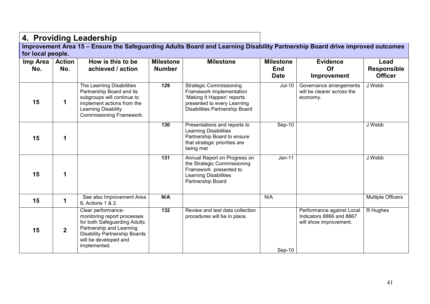4. Providing Leadership<br>Improvement Area 15 – Ensure the Safeguarding Adults Board and Learning Disability Partnership Board drive improved outcomes for local people.

| Imp Area<br>No. | <b>Action</b><br>No. | How is this to be<br>achieved / action                                                                                                                                                         | <b>Milestone</b><br><b>Number</b> | <b>Milestone</b>                                                                                                                                          | <b>Milestone</b><br><b>End</b><br><b>Date</b> | <b>Evidence</b><br><b>Of</b><br>Improvement                                     | Lead<br><b>Responsible</b><br><b>Officer</b> |
|-----------------|----------------------|------------------------------------------------------------------------------------------------------------------------------------------------------------------------------------------------|-----------------------------------|-----------------------------------------------------------------------------------------------------------------------------------------------------------|-----------------------------------------------|---------------------------------------------------------------------------------|----------------------------------------------|
| 15              |                      | The Learning Disabilities<br>Partnership Board and its<br>subgroups will continue to<br>implement actions from the<br>Learning Disability<br>Commissioning Framework.                          | 129                               | <b>Strategic Commissioning</b><br>Framework Implementation<br>'Making It Happen' reports<br>presented to every Learning<br>Disabilities Partnership Board | <b>Jul-10</b>                                 | Governance arrangements<br>will be clearer across the<br>economy.               | J Webb                                       |
| 15              | $\mathbf 1$          |                                                                                                                                                                                                | 130                               | Presentations and reports to<br><b>Learning Disabilities</b><br>Partnership Board to ensure<br>that strategic priorities are<br>being met                 | Sep-10                                        |                                                                                 | J Webb                                       |
| 15              | 1                    |                                                                                                                                                                                                | 131                               | Annual Report on Progress on<br>the Strategic Commissioning<br>Framework presented to<br><b>Learning Disabilities</b><br>Partnership Board                | $Jan-11$                                      |                                                                                 | J Webb                                       |
| 15              |                      | See also Improvement Area<br>8, Actions 1 & 2.                                                                                                                                                 | N/A                               |                                                                                                                                                           | N/A                                           |                                                                                 | <b>Multiple Officers</b>                     |
| 15              | $\boldsymbol{2}$     | Clear performance-<br>monitoring report processes<br>for both Safeguarding Adults<br>Partnership and Learning<br><b>Disability Partnership Boards</b><br>will be developed and<br>implemented. | $\overline{132}$                  | Review and test data collection<br>procedures will be in place.                                                                                           | $Sep-10$                                      | Performance against Local<br>Indicators 8866 and 8867<br>will show improvement. | R Hughes                                     |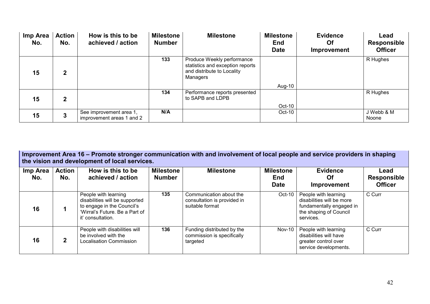| Imp Area<br>No. | <b>Action</b><br>No. | How is this to be<br>achieved / action               | <b>Milestone</b><br><b>Number</b> | <b>Milestone</b>                                                                                         | <b>Milestone</b><br><b>End</b><br><b>Date</b> | <b>Evidence</b><br>Of<br>Improvement | Lead<br><b>Responsible</b><br><b>Officer</b> |
|-----------------|----------------------|------------------------------------------------------|-----------------------------------|----------------------------------------------------------------------------------------------------------|-----------------------------------------------|--------------------------------------|----------------------------------------------|
| 15              | $\mathbf{2}$         |                                                      | 133                               | Produce Weekly performance<br>statistics and exception reports<br>and distribute to Locality<br>Managers |                                               |                                      | R Hughes                                     |
|                 |                      |                                                      |                                   |                                                                                                          | Aug-10                                        |                                      |                                              |
| 15              | $\mathbf{2}$         |                                                      | 134                               | Performance reports presented<br>to SAPB and LDPB                                                        |                                               |                                      | R Hughes                                     |
|                 |                      |                                                      |                                   |                                                                                                          | $Oct-10$                                      |                                      |                                              |
| 15              | 3                    | See improvement area 1,<br>improvement areas 1 and 2 | N/A                               |                                                                                                          | $Oct-10$                                      |                                      | J Webb & M<br><b>Noone</b>                   |

|                 | Improvement Area 16 – Promote stronger communication with and involvement of local people and service providers in shaping<br>the vision and development of local services. |                                                                                                                                             |                                   |                                                                           |                                               |                                                                                                                      |                                              |  |  |  |  |
|-----------------|-----------------------------------------------------------------------------------------------------------------------------------------------------------------------------|---------------------------------------------------------------------------------------------------------------------------------------------|-----------------------------------|---------------------------------------------------------------------------|-----------------------------------------------|----------------------------------------------------------------------------------------------------------------------|----------------------------------------------|--|--|--|--|
| Imp Area<br>No. | <b>Action</b><br>No.                                                                                                                                                        | How is this to be<br>achieved / action                                                                                                      | <b>Milestone</b><br><b>Number</b> | <b>Milestone</b>                                                          | <b>Milestone</b><br><b>End</b><br><b>Date</b> | <b>Evidence</b><br>Οf<br>Improvement                                                                                 | Lead<br><b>Responsible</b><br><b>Officer</b> |  |  |  |  |
| 16              |                                                                                                                                                                             | People with learning<br>disabilities will be supported<br>to engage in the Council's<br>'Wirral's Future, Be a Part of<br>it' consultation. | 135                               | Communication about the<br>consultation is provided in<br>suitable format | Oct-10                                        | People with learning<br>disabilities will be more<br>fundamentally engaged in<br>the shaping of Council<br>services. | C Curr                                       |  |  |  |  |
| 16              | $\mathbf{2}$                                                                                                                                                                | People with disabilities will<br>be involved with the<br>Localisation Commission                                                            | 136                               | Funding distributed by the<br>commission is specifically<br>targeted      | <b>Nov-10</b>                                 | People with learning<br>disabilities will have<br>greater control over<br>service developments.                      | C Curr                                       |  |  |  |  |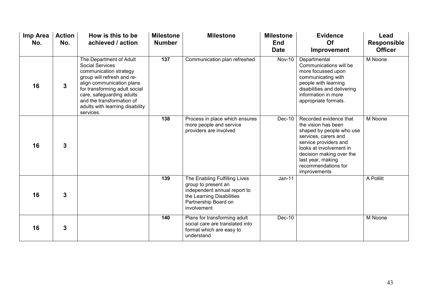| Imp Area<br>No. | <b>Action</b><br>No. | How is this to be<br>achieved / action                                                                                                                                                                                                                                            | <b>Milestone</b><br><b>Number</b> | <b>Milestone</b>                                                                                                                                         | <b>Milestone</b><br><b>End</b><br><b>Date</b> | <b>Evidence</b><br>Of<br>Improvement                                                                                                                                                                                                          | Lead<br><b>Responsible</b><br><b>Officer</b> |
|-----------------|----------------------|-----------------------------------------------------------------------------------------------------------------------------------------------------------------------------------------------------------------------------------------------------------------------------------|-----------------------------------|----------------------------------------------------------------------------------------------------------------------------------------------------------|-----------------------------------------------|-----------------------------------------------------------------------------------------------------------------------------------------------------------------------------------------------------------------------------------------------|----------------------------------------------|
| 16              | 3                    | The Department of Adult<br><b>Social Services</b><br>communication strategy<br>group will refresh and re-<br>align communication plans<br>for transforming adult social<br>care, safeguarding adults<br>and the transformation of<br>adults with learning disability<br>services. | 137                               | Communication plan refreshed                                                                                                                             | <b>Nov-10</b>                                 | Departmental<br>Communications will be<br>more focussed upon<br>communicating with<br>people with learning<br>disabilities and delivering<br>information in more<br>appropriate formats.                                                      | M Noone                                      |
| 16              | $\overline{3}$       |                                                                                                                                                                                                                                                                                   | 138                               | Process in place which ensures<br>more people and service<br>providers are involved                                                                      | Dec-10                                        | Recorded evidence that<br>the vision has been<br>shaped by people who use<br>services, carers and<br>service providers and<br>looks at involvement in<br>decision making over the<br>last year, making<br>recommendations for<br>improvements | M Noone                                      |
| 16              | 3                    |                                                                                                                                                                                                                                                                                   | 139                               | The Enabling Fulfilling Lives<br>group to present an<br>independent annual report to<br>the Learning Disabilities<br>Partnership Board on<br>involvement | $Jan-11$                                      |                                                                                                                                                                                                                                               | A Pollitt                                    |
| 16              | 3                    |                                                                                                                                                                                                                                                                                   | 140                               | Plans for transforming adult<br>social care are translated into<br>format which are easy to<br>understand                                                | Dec-10                                        |                                                                                                                                                                                                                                               | M Noone                                      |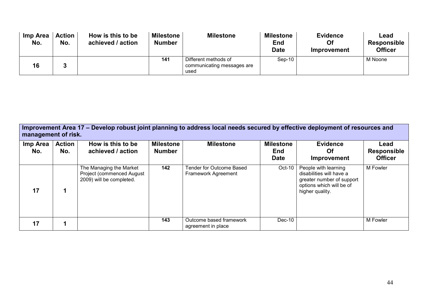| Imp Area<br>No. | <b>Action</b><br>No. | How is this to be<br>achieved / action | <b>Milestone</b><br><b>Number</b> | <b>Milestone</b>                                           | <b>Milestone</b><br><b>End</b><br><b>Date</b> | <b>Evidence</b><br>Of<br>Improvement | Lead<br><b>Responsible</b><br><b>Officer</b> |
|-----------------|----------------------|----------------------------------------|-----------------------------------|------------------------------------------------------------|-----------------------------------------------|--------------------------------------|----------------------------------------------|
| 16              |                      |                                        | 141                               | Different methods of<br>communicating messages are<br>used | $Sep-10$                                      |                                      | M Noone                                      |

Improvement Area 17 – Develop robust joint planning to address local needs secured by effective deployment of resources and management of risk.

| Imp Area<br>No. | <b>Action</b><br>No. | How is this to be<br>achieved / action                                           | <b>Milestone</b><br><b>Number</b> | <b>Milestone</b>                                | <b>Milestone</b><br><b>End</b><br><b>Date</b> | <b>Evidence</b><br><b>Of</b><br>Improvement                                                                                  | Lead<br><b>Responsible</b><br><b>Officer</b> |
|-----------------|----------------------|----------------------------------------------------------------------------------|-----------------------------------|-------------------------------------------------|-----------------------------------------------|------------------------------------------------------------------------------------------------------------------------------|----------------------------------------------|
| 17              |                      | The Managing the Market<br>Project (commenced August<br>2009) will be completed. | 142                               | Tender for Outcome Based<br>Framework Agreement | Oct-10                                        | People with learning<br>disabilities will have a<br>greater number of support<br>options which will be of<br>higher quality. | M Fowler                                     |
| 17              |                      |                                                                                  | 143                               | Outcome based framework<br>agreement in place   | Dec-10                                        |                                                                                                                              | M Fowler                                     |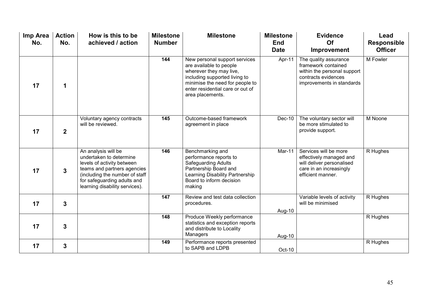| Imp Area<br>No. | <b>Action</b><br>No. | How is this to be<br>achieved / action                                                                                                                                                                         | <b>Milestone</b><br><b>Number</b> | <b>Milestone</b>                                                                                                                                                                                                | <b>Milestone</b><br><b>End</b><br><b>Date</b> | <b>Evidence</b><br>Of<br>Improvement                                                                                            | Lead<br><b>Responsible</b><br><b>Officer</b> |
|-----------------|----------------------|----------------------------------------------------------------------------------------------------------------------------------------------------------------------------------------------------------------|-----------------------------------|-----------------------------------------------------------------------------------------------------------------------------------------------------------------------------------------------------------------|-----------------------------------------------|---------------------------------------------------------------------------------------------------------------------------------|----------------------------------------------|
| 17              | 1                    |                                                                                                                                                                                                                | 144                               | New personal support services<br>are available to people<br>wherever they may live,<br>including supported living to<br>minimise the need for people to<br>enter residential care or out of<br>area placements. | Apr-11                                        | The quality assurance<br>framework contained<br>within the personal support<br>contracts evidences<br>improvements in standards | <b>M</b> Fowler                              |
| 17              | $\overline{2}$       | Voluntary agency contracts<br>will be reviewed.                                                                                                                                                                | 145                               | Outcome-based framework<br>agreement in place                                                                                                                                                                   | Dec-10                                        | The voluntary sector will<br>be more stimulated to<br>provide support.                                                          | M Noone                                      |
| 17              | 3                    | An analysis will be<br>undertaken to determine<br>levels of activity between<br>teams and partners agencies<br>(including the number of staff<br>for safeguarding adults and<br>learning disability services). | 146                               | Benchmarking and<br>performance reports to<br><b>Safeguarding Adults</b><br>Partnership Board and<br>Learning Disability Partnership<br>Board to inform decision<br>making                                      | Mar-11                                        | Services will be more<br>effectively managed and<br>will deliver personalised<br>care in an increasingly<br>efficient manner.   | R Hughes                                     |
| 17              | 3                    |                                                                                                                                                                                                                | 147                               | Review and test data collection<br>procedures.                                                                                                                                                                  | Aug-10                                        | Variable levels of activity<br>will be minimised                                                                                | R Hughes                                     |
| 17              | $\overline{3}$       |                                                                                                                                                                                                                | 148                               | Produce Weekly performance<br>statistics and exception reports<br>and distribute to Locality<br>Managers                                                                                                        | Aug-10                                        |                                                                                                                                 | R Hughes                                     |
| 17              | 3                    |                                                                                                                                                                                                                | 149                               | Performance reports presented<br>to SAPB and LDPB                                                                                                                                                               | Oct-10                                        |                                                                                                                                 | R Hughes                                     |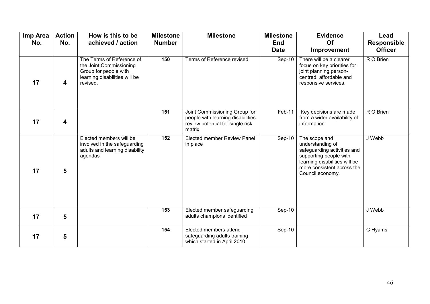| Imp Area<br>No. | <b>Action</b><br>No. | How is this to be<br>achieved / action                                                                                     | <b>Milestone</b><br><b>Number</b> | <b>Milestone</b>                                                                                                 | <b>Milestone</b><br><b>End</b><br><b>Date</b> | <b>Evidence</b><br>Of<br>Improvement                                                                                                                                          | Lead<br><b>Responsible</b><br><b>Officer</b> |
|-----------------|----------------------|----------------------------------------------------------------------------------------------------------------------------|-----------------------------------|------------------------------------------------------------------------------------------------------------------|-----------------------------------------------|-------------------------------------------------------------------------------------------------------------------------------------------------------------------------------|----------------------------------------------|
| 17              | 4                    | The Terms of Reference of<br>the Joint Commissioning<br>Group for people with<br>learning disabilities will be<br>revised. | 150                               | Terms of Reference revised.                                                                                      | Sep-10                                        | There will be a clearer<br>focus on key priorities for<br>joint planning person-<br>centred, affordable and<br>responsive services.                                           | R O Brien                                    |
| 17              | 4                    |                                                                                                                            | 151                               | Joint Commissioning Group for<br>people with learning disabilities<br>review potential for single risk<br>matrix | Feb-11                                        | Key decisions are made<br>from a wider availability of<br>information.                                                                                                        | R O Brien                                    |
| 17              | 5                    | Elected members will be<br>involved in the safeguarding<br>adults and learning disability<br>agendas                       | 152                               | Elected member Review Panel<br>in place                                                                          | $Sep-10$                                      | The scope and<br>understanding of<br>safeguarding activities and<br>supporting people with<br>learning disabilities will be<br>more consistent across the<br>Council economy. | J Webb                                       |
| 17              | 5                    |                                                                                                                            | 153                               | Elected member safeguarding<br>adults champions identified                                                       | Sep-10                                        |                                                                                                                                                                               | J Webb                                       |
| 17              | 5                    |                                                                                                                            | 154                               | Elected members attend<br>safeguarding adults training<br>which started in April 2010                            | Sep-10                                        |                                                                                                                                                                               | C Hyams                                      |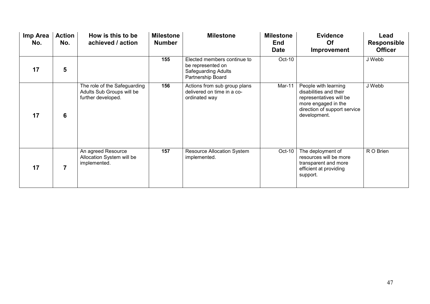| Imp Area<br>No. | <b>Action</b><br>No. | How is this to be<br>achieved / action                                          | <b>Milestone</b><br><b>Number</b> | <b>Milestone</b>                                                                             | <b>Milestone</b><br><b>End</b><br><b>Date</b> | <b>Evidence</b><br>Of<br>Improvement                                                                                                             | Lead<br><b>Responsible</b><br><b>Officer</b> |
|-----------------|----------------------|---------------------------------------------------------------------------------|-----------------------------------|----------------------------------------------------------------------------------------------|-----------------------------------------------|--------------------------------------------------------------------------------------------------------------------------------------------------|----------------------------------------------|
| 17              | 5                    |                                                                                 | 155                               | Elected members continue to<br>be represented on<br>Safeguarding Adults<br>Partnership Board | Oct-10                                        |                                                                                                                                                  | J Webb                                       |
| 17              | 6                    | The role of the Safeguarding<br>Adults Sub Groups will be<br>further developed. | 156                               | Actions from sub group plans<br>delivered on time in a co-<br>ordinated way                  | Mar-11                                        | People with learning<br>disabilities and their<br>representatives will be<br>more engaged in the<br>direction of support service<br>development. | J Webb                                       |
| 17              | $\overline{7}$       | An agreed Resource<br>Allocation System will be<br>implemented.                 | 157                               | <b>Resource Allocation System</b><br>implemented.                                            | Oct-10                                        | The deployment of<br>resources will be more<br>transparent and more<br>efficient at providing<br>support.                                        | R O Brien                                    |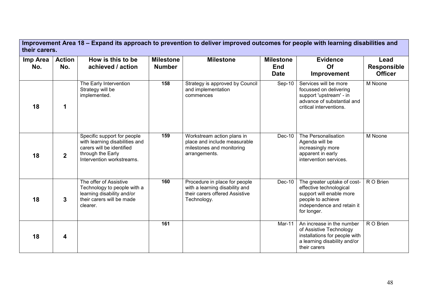|                 | Improvement Area 18 – Expand its approach to prevention to deliver improved outcomes for people with learning disabilities and<br>their carers. |                                                                                                                                              |                                   |                                                                                                                  |                                               |                                                                                                                                                      |                                              |  |  |  |
|-----------------|-------------------------------------------------------------------------------------------------------------------------------------------------|----------------------------------------------------------------------------------------------------------------------------------------------|-----------------------------------|------------------------------------------------------------------------------------------------------------------|-----------------------------------------------|------------------------------------------------------------------------------------------------------------------------------------------------------|----------------------------------------------|--|--|--|
| Imp Area<br>No. | <b>Action</b><br>No.                                                                                                                            | How is this to be<br>achieved / action                                                                                                       | <b>Milestone</b><br><b>Number</b> | <b>Milestone</b>                                                                                                 | <b>Milestone</b><br><b>End</b><br><b>Date</b> | <b>Evidence</b><br>Of<br>Improvement                                                                                                                 | Lead<br><b>Responsible</b><br><b>Officer</b> |  |  |  |
| 18              | 1                                                                                                                                               | The Early Intervention<br>Strategy will be<br>implemented.                                                                                   | 158                               | Strategy is approved by Council<br>and implementation<br>commences                                               | $Sep-10$                                      | Services will be more<br>focussed on delivering<br>support 'upstream' - in<br>advance of substantial and<br>critical interventions.                  | M Noone                                      |  |  |  |
| 18              | $\overline{2}$                                                                                                                                  | Specific support for people<br>with learning disabilities and<br>carers will be identified<br>through the Early<br>Intervention workstreams. | 159                               | Workstream action plans in<br>place and include measurable<br>milestones and monitoring<br>arrangements.         | Dec-10                                        | The Personalisation<br>Agenda will be<br>increasingly more<br>apparent in early<br>intervention services.                                            | M Noone                                      |  |  |  |
| 18              | $\mathbf{3}$                                                                                                                                    | The offer of Assistive<br>Technology to people with a<br>learning disability and/or<br>their carers will be made<br>clearer.                 | 160                               | Procedure in place for people<br>with a learning disability and<br>their carers offered Assistive<br>Technology. | Dec-10                                        | The greater uptake of cost-<br>effective technological<br>support will enable more<br>people to achieve<br>independence and retain it<br>for longer. | R O Brien                                    |  |  |  |
| 18              | 4                                                                                                                                               |                                                                                                                                              | 161                               |                                                                                                                  | Mar-11                                        | An increase in the number<br>of Assistive Technology<br>installations for people with<br>a learning disability and/or<br>their carers                | R O Brien                                    |  |  |  |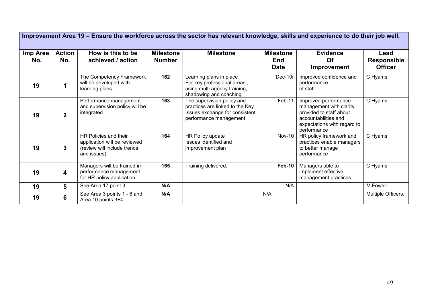| Improvement Area 19 - Ensure the workforce across the sector has relevant knowledge, skills and experience to do their job well. |                         |                                                                                                      |                                   |                                                                                                                           |                                               |                                                                                                                                                  |                                              |  |  |  |
|----------------------------------------------------------------------------------------------------------------------------------|-------------------------|------------------------------------------------------------------------------------------------------|-----------------------------------|---------------------------------------------------------------------------------------------------------------------------|-----------------------------------------------|--------------------------------------------------------------------------------------------------------------------------------------------------|----------------------------------------------|--|--|--|
| Imp Area<br>No.                                                                                                                  | <b>Action</b><br>No.    | How is this to be<br>achieved / action                                                               | <b>Milestone</b><br><b>Number</b> | <b>Milestone</b>                                                                                                          | <b>Milestone</b><br><b>End</b><br><b>Date</b> | <b>Evidence</b><br>Of<br>Improvement                                                                                                             | Lead<br><b>Responsible</b><br><b>Officer</b> |  |  |  |
| 19                                                                                                                               |                         | The Competency Framework<br>will be developed with<br>learning plans.                                | 162                               | Learning plans in place<br>For key professional areas,<br>using multi agency training,<br>shadowing and coaching          | Dec-10r                                       | Improved confidence and<br>performance<br>of staff                                                                                               | C Hyams                                      |  |  |  |
| 19                                                                                                                               | $\overline{2}$          | Performance management<br>and supervision policy will be<br>integrated                               | 163                               | The supervision policy and<br>practices are linked to the Key<br>Issues exchange for consistent<br>performance management | $Feb-11$                                      | Improved performance<br>management with clarity<br>provided to staff about<br>accountabilities and<br>expectations with regard to<br>performance | C Hyams                                      |  |  |  |
| 19                                                                                                                               | 3                       | HR Policies and their<br>application will be reviewed<br>(review will include trends<br>and issues). | 164                               | HR Policy update<br>Issues identified and<br>improvement plan                                                             | <b>Nov-10</b>                                 | HR policy framework and<br>practices enable managers<br>to better manage<br>performance                                                          | C Hyams                                      |  |  |  |
| 19                                                                                                                               | $\overline{\mathbf{4}}$ | Managers will be trained in<br>performance management<br>for HR policy application                   | 165                               | Training delivered.                                                                                                       | Feb-10                                        | Managers able to<br>implement effective<br>management practices                                                                                  | C Hyams                                      |  |  |  |
| 19                                                                                                                               | 5                       | See Area 17 point 3                                                                                  | N/A                               |                                                                                                                           | N/A                                           |                                                                                                                                                  | M Fowler                                     |  |  |  |
| 19                                                                                                                               | 6                       | See Area 3 points 1 - 6 and<br>Area 10 points 3+4                                                    | N/A                               |                                                                                                                           | N/A                                           |                                                                                                                                                  | Multiple Officers.                           |  |  |  |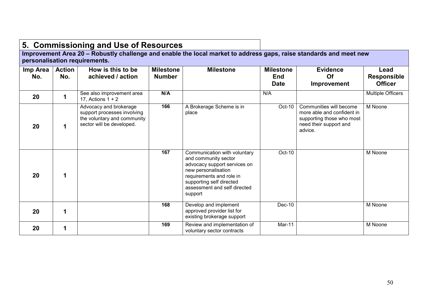|                 |                      | 5. Commissioning and Use of Resources                                                                             |                                   |                                                                                                                                                                                                                |                                               |                                                                                                                         |                                              |
|-----------------|----------------------|-------------------------------------------------------------------------------------------------------------------|-----------------------------------|----------------------------------------------------------------------------------------------------------------------------------------------------------------------------------------------------------------|-----------------------------------------------|-------------------------------------------------------------------------------------------------------------------------|----------------------------------------------|
|                 |                      | personalisation requirements.                                                                                     |                                   | Improvement Area 20 - Robustly challenge and enable the local market to address gaps, raise standards and meet new                                                                                             |                                               |                                                                                                                         |                                              |
| Imp Area<br>No. | <b>Action</b><br>No. | How is this to be<br>achieved / action                                                                            | <b>Milestone</b><br><b>Number</b> | <b>Milestone</b>                                                                                                                                                                                               | <b>Milestone</b><br><b>End</b><br><b>Date</b> | <b>Evidence</b><br>Of<br>Improvement                                                                                    | Lead<br><b>Responsible</b><br><b>Officer</b> |
| 20              |                      | See also improvement area<br>17, Actions $1 + 2$                                                                  | N/A                               |                                                                                                                                                                                                                | N/A                                           |                                                                                                                         | <b>Multiple Officers</b>                     |
| 20              | 1                    | Advocacy and brokerage<br>support processes involving<br>the voluntary and community<br>sector will be developed. | 166                               | A Brokerage Scheme is in<br>place                                                                                                                                                                              | $Oct-10$                                      | Communities will become<br>more able and confident in<br>supporting those who most<br>need their support and<br>advice. | M Noone                                      |
| 20              | 1                    |                                                                                                                   | 167                               | Communication with voluntary<br>and community sector<br>advocacy support services on<br>new personalisation<br>requirements and role in<br>supporting self directed<br>assessment and self directed<br>support | Oct-10                                        |                                                                                                                         | M Noone                                      |
| 20              | 1                    |                                                                                                                   | 168                               | Develop and implement<br>approved provider list for<br>existing brokerage support                                                                                                                              | Dec-10                                        |                                                                                                                         | M Noone                                      |
| 20              | 1                    |                                                                                                                   | 169                               | Review and implementation of<br>voluntary sector contracts                                                                                                                                                     | Mar-11                                        |                                                                                                                         | M Noone                                      |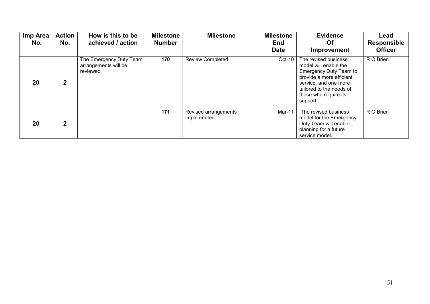| Imp Area<br>No. | <b>Action</b><br>No. | How is this to be<br>achieved / action                      | <b>Milestone</b><br><b>Number</b> | <b>Milestone</b>                     | <b>Milestone</b><br>End<br><b>Date</b> | <b>Evidence</b><br><b>Of</b><br>Improvement                                                                                                                                                          | Lead<br><b>Responsible</b><br><b>Officer</b> |
|-----------------|----------------------|-------------------------------------------------------------|-----------------------------------|--------------------------------------|----------------------------------------|------------------------------------------------------------------------------------------------------------------------------------------------------------------------------------------------------|----------------------------------------------|
| 20              | $\mathbf{2}$         | The Emergency Duty Team<br>arrangements will be<br>reviewed | 170                               | <b>Review Completed</b>              | Oct-10                                 | The revised business<br>model will enable the<br><b>Emergency Duty Team to</b><br>provide a more efficient<br>service, and one more<br>tailored to the needs of<br>those who require its<br>support. | R O Brien                                    |
| 20              | $\overline{2}$       |                                                             | 171                               | Revised arrangements<br>implemented. | Mar-11                                 | The revised business<br>model for the Emergency<br>Duty Team will enable<br>planning for a future<br>service model.                                                                                  | R O Brien                                    |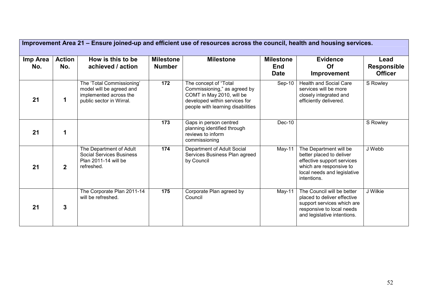| Improvement Area 21 – Ensure joined-up and efficient use of resources across the council, health and housing services. |                      |                                                                                                             |                                   |                                                                                                                                                          |                                               |                                                                                                                                                           |                                              |  |  |  |
|------------------------------------------------------------------------------------------------------------------------|----------------------|-------------------------------------------------------------------------------------------------------------|-----------------------------------|----------------------------------------------------------------------------------------------------------------------------------------------------------|-----------------------------------------------|-----------------------------------------------------------------------------------------------------------------------------------------------------------|----------------------------------------------|--|--|--|
| Imp Area<br>No.                                                                                                        | <b>Action</b><br>No. | How is this to be<br>achieved / action                                                                      | <b>Milestone</b><br><b>Number</b> | <b>Milestone</b>                                                                                                                                         | <b>Milestone</b><br><b>End</b><br><b>Date</b> | <b>Evidence</b><br>Of<br>Improvement                                                                                                                      | Lead<br><b>Responsible</b><br><b>Officer</b> |  |  |  |
| 21                                                                                                                     | 1                    | The 'Total Commissioning'<br>model will be agreed and<br>implemented across the<br>public sector in Wirral. | 172                               | The concept of "Total<br>Commissioning," as agreed by<br>COMT in May 2010, will be<br>developed within services for<br>people with learning disabilities | $Sep-10$                                      | <b>Health and Social Care</b><br>services will be more<br>closely integrated and<br>efficiently delivered.                                                | S Rowley                                     |  |  |  |
| 21                                                                                                                     | 1                    |                                                                                                             | 173                               | Gaps in person centred<br>planning identified through<br>reviews to inform<br>commissioning                                                              | Dec-10                                        |                                                                                                                                                           | S Rowley                                     |  |  |  |
| 21                                                                                                                     | $\overline{2}$       | The Department of Adult<br><b>Social Services Business</b><br>Plan 2011-14 will be<br>refreshed.            | 174                               | Department of Adult Social<br>Services Business Plan agreed<br>by Council                                                                                | $May-11$                                      | The Department will be<br>better placed to deliver<br>effective support services<br>which are responsive to<br>local needs and legislative<br>intentions. | J Webb                                       |  |  |  |
| 21                                                                                                                     | 3                    | The Corporate Plan 2011-14<br>will be refreshed.                                                            | 175                               | Corporate Plan agreed by<br>Council                                                                                                                      | $May-11$                                      | The Council will be better<br>placed to deliver effective<br>support services which are<br>responsive to local needs<br>and legislative intentions.       | J Wilkie                                     |  |  |  |